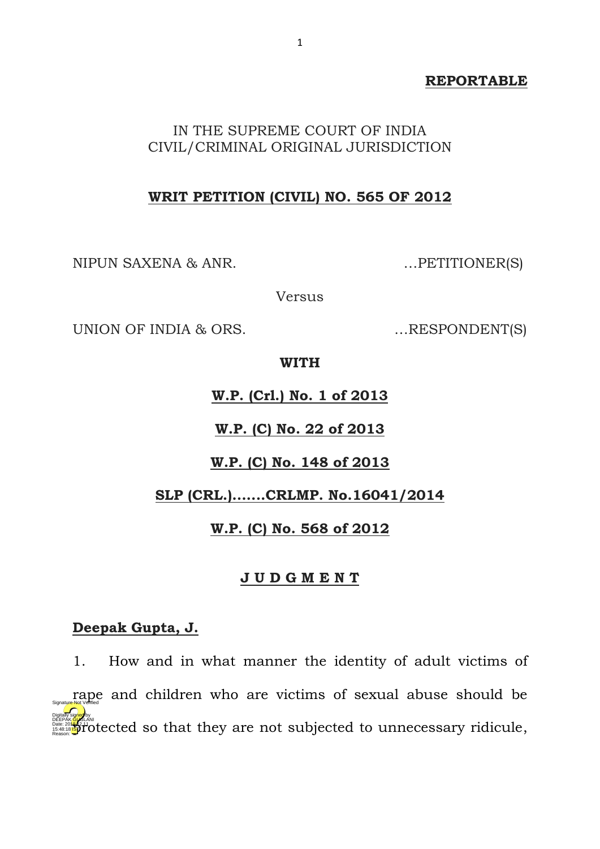## **REPORTABLE**

## IN THE SUPREME COURT OF INDIA CIVIL/CRIMINAL ORIGINAL JURISDICTION

## **WRIT PETITION (CIVIL) NO. 565 OF 2012**

NIPUN SAXENA & ANR. …PETITIONER(S)

Versus

UNION OF INDIA & ORS. ....RESPONDENT(S)

**WITH** 

**W.P. (Crl.) No. 1 of 2013**

**W.P. (C) No. 22 of 2013**

**W.P. (C) No. 148 of 2013**

**SLP (CRL.).......CRLMP. No.16041/2014**

**W.P. (C) No. 568 of 2012**

## **J U D G M E N T**

## **Deepak Gupta, J.**

1. How and in what manner the identity of adult victims of rape and children who are victims of sexual abuse should be DEEPAK GUGLANI<br>Base: 2018.11 **Sprot ceted** so that they are not subjected to unnecessary ridicule, Digitally signed by Reason: Signature Not Verified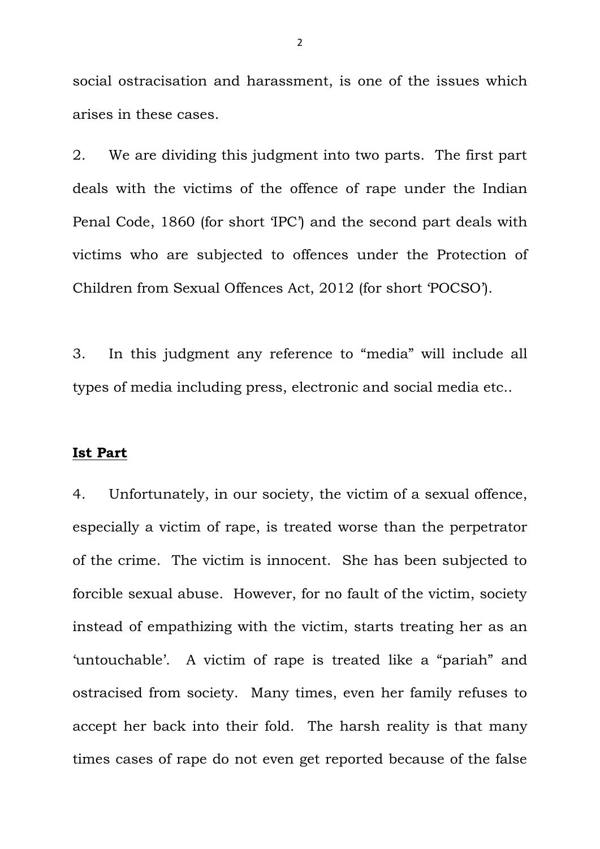social ostracisation and harassment, is one of the issues which arises in these cases.

2. We are dividing this judgment into two parts. The first part deals with the victims of the offence of rape under the Indian Penal Code, 1860 (for short 'IPC') and the second part deals with victims who are subjected to offences under the Protection of Children from Sexual Offences Act, 2012 (for short 'POCSO').

3. In this judgment any reference to "media" will include all types of media including press, electronic and social media etc..

## **Ist Part**

4. Unfortunately, in our society, the victim of a sexual offence, especially a victim of rape, is treated worse than the perpetrator of the crime. The victim is innocent. She has been subjected to forcible sexual abuse. However, for no fault of the victim, society instead of empathizing with the victim, starts treating her as an 'untouchable'. A victim of rape is treated like a "pariah" and ostracised from society. Many times, even her family refuses to accept her back into their fold. The harsh reality is that many times cases of rape do not even get reported because of the false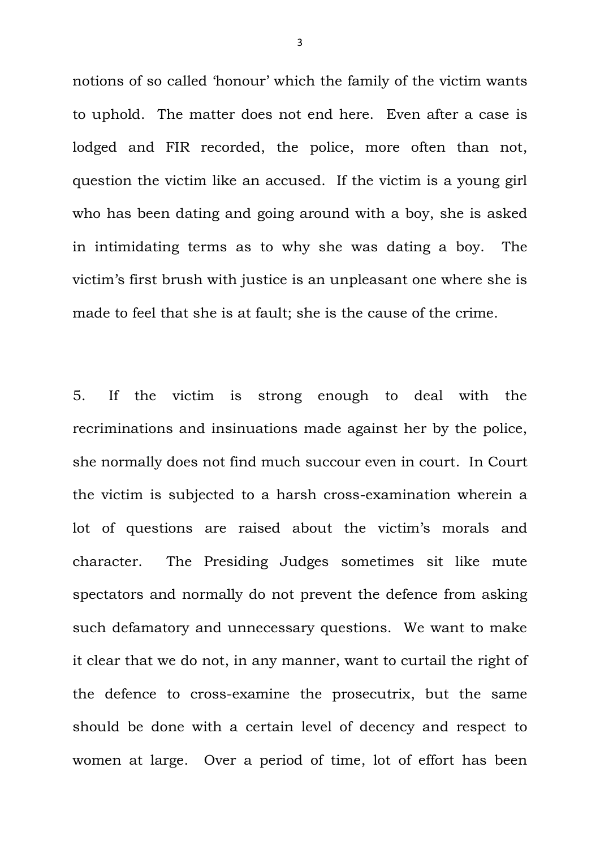notions of so called 'honour' which the family of the victim wants to uphold. The matter does not end here. Even after a case is lodged and FIR recorded, the police, more often than not, question the victim like an accused. If the victim is a young girl who has been dating and going around with a boy, she is asked in intimidating terms as to why she was dating a boy. The victim's first brush with justice is an unpleasant one where she is made to feel that she is at fault; she is the cause of the crime.

5. If the victim is strong enough to deal with the recriminations and insinuations made against her by the police, she normally does not find much succour even in court. In Court the victim is subjected to a harsh cross-examination wherein a lot of questions are raised about the victim's morals and character. The Presiding Judges sometimes sit like mute spectators and normally do not prevent the defence from asking such defamatory and unnecessary questions. We want to make it clear that we do not, in any manner, want to curtail the right of the defence to cross-examine the prosecutrix, but the same should be done with a certain level of decency and respect to women at large. Over a period of time, lot of effort has been

3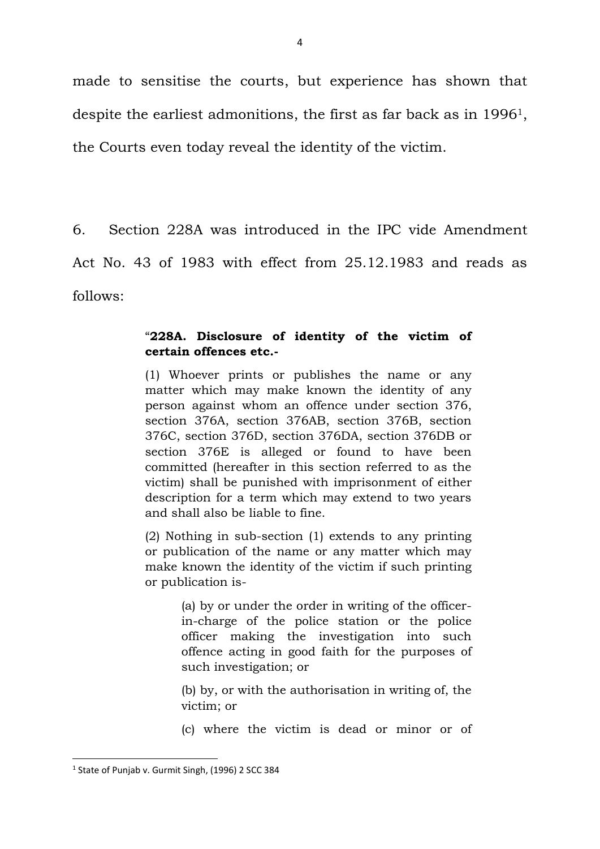made to sensitise the courts, but experience has shown that despite the earliest admonitions, the first as far back as in 19961, the Courts even today reveal the identity of the victim.

6. Section 228A was introduced in the IPC vide Amendment Act No. 43 of 1983 with effect from 25.12.1983 and reads as follows:

## "**228A. Disclosure of identity of the victim of certain offences etc.-**

(1) Whoever prints or publishes the name or any matter which may make known the identity of any person against whom an offence under section 376, section 376A, section 376AB, section 376B, section 376C, section 376D, section 376DA, section 376DB or section 376E is alleged or found to have been committed (hereafter in this section referred to as the victim) shall be punished with imprisonment of either description for a term which may extend to two years and shall also be liable to fine.

(2) Nothing in sub-section (1) extends to any printing or publication of the name or any matter which may make known the identity of the victim if such printing or publication is-

> (a) by or under the order in writing of the officerin-charge of the police station or the police officer making the investigation into such offence acting in good faith for the purposes of such investigation; or

> (b) by, or with the authorisation in writing of, the victim; or

> (c) where the victim is dead or minor or of

**.** 

<sup>&</sup>lt;sup>1</sup> State of Punjab v. Gurmit Singh, (1996) 2 SCC 384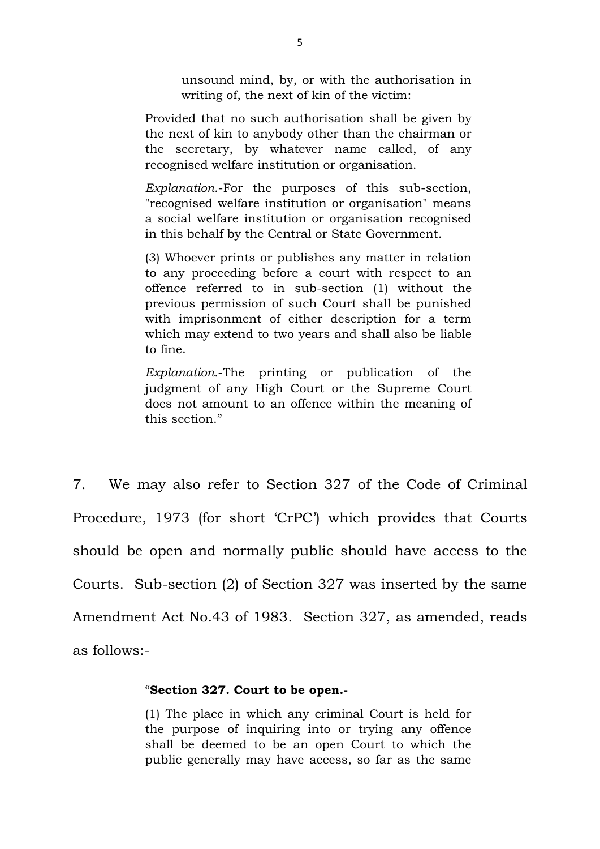unsound mind, by, or with the authorisation in writing of, the next of kin of the victim:

Provided that no such authorisation shall be given by the next of kin to anybody other than the chairman or the secretary, by whatever name called, of any recognised welfare institution or organisation.

*Explanation*.-For the purposes of this sub-section, "recognised welfare institution or organisation" means a social welfare institution or organisation recognised in this behalf by the Central or State Government.

(3) Whoever prints or publishes any matter in relation to any proceeding before a court with respect to an offence referred to in sub-section (1) without the previous permission of such Court shall be punished with imprisonment of either description for a term which may extend to two years and shall also be liable to fine.

*Explanation.*-The printing or publication of the judgment of any High Court or the Supreme Court does not amount to an offence within the meaning of this section."

7. We may also refer to Section 327 of the Code of Criminal Procedure, 1973 (for short 'CrPC') which provides that Courts should be open and normally public should have access to the Courts. Sub-section (2) of Section 327 was inserted by the same Amendment Act No.43 of 1983. Section 327, as amended, reads as follows:-

## "**Section 327. Court to be open.-**

(1) The place in which any criminal Court is held for the purpose of inquiring into or trying any offence shall be deemed to be an open Court to which the public generally may have access, so far as the same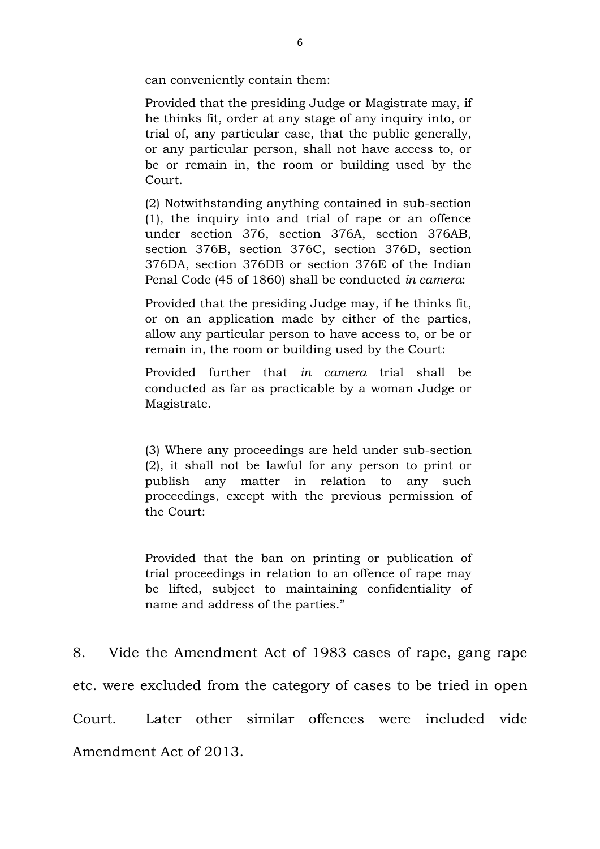can conveniently contain them:

Provided that the presiding Judge or Magistrate may, if he thinks fit, order at any stage of any inquiry into, or trial of, any particular case, that the public generally, or any particular person, shall not have access to, or be or remain in, the room or building used by the Court.

(2) Notwithstanding anything contained in sub-section (1), the inquiry into and trial of rape or an offence under section 376, section 376A, section 376AB, section 376B, section 376C, section 376D, section 376DA, section 376DB or section 376E of the Indian Penal Code (45 of 1860) shall be conducted *in camera*:

Provided that the presiding Judge may, if he thinks fit, or on an application made by either of the parties, allow any particular person to have access to, or be or remain in, the room or building used by the Court:

Provided further that *in camera* trial shall be conducted as far as practicable by a woman Judge or Magistrate.

(3) Where any proceedings are held under sub-section (2), it shall not be lawful for any person to print or publish any matter in relation to any such proceedings, except with the previous permission of the Court:

Provided that the ban on printing or publication of trial proceedings in relation to an offence of rape may be lifted, subject to maintaining confidentiality of name and address of the parties."

8. Vide the Amendment Act of 1983 cases of rape, gang rape etc. were excluded from the category of cases to be tried in open Court. Later other similar offences were included vide Amendment Act of 2013.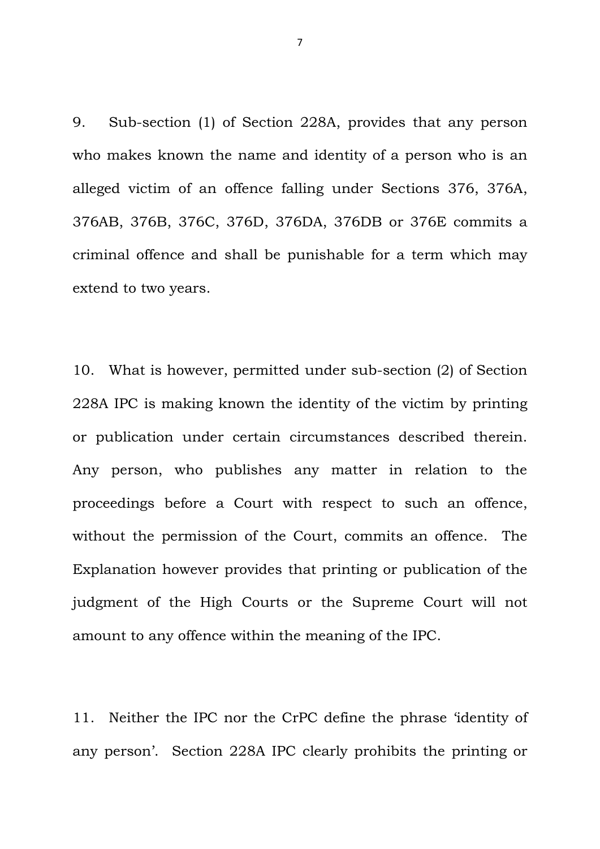9. Sub-section (1) of Section 228A, provides that any person who makes known the name and identity of a person who is an alleged victim of an offence falling under Sections 376, 376A, 376AB, 376B, 376C, 376D, 376DA, 376DB or 376E commits a criminal offence and shall be punishable for a term which may extend to two years.

10. What is however, permitted under sub-section (2) of Section 228A IPC is making known the identity of the victim by printing or publication under certain circumstances described therein. Any person, who publishes any matter in relation to the proceedings before a Court with respect to such an offence, without the permission of the Court, commits an offence. The Explanation however provides that printing or publication of the judgment of the High Courts or the Supreme Court will not amount to any offence within the meaning of the IPC.

11. Neither the IPC nor the CrPC define the phrase 'identity of any person'. Section 228A IPC clearly prohibits the printing or

7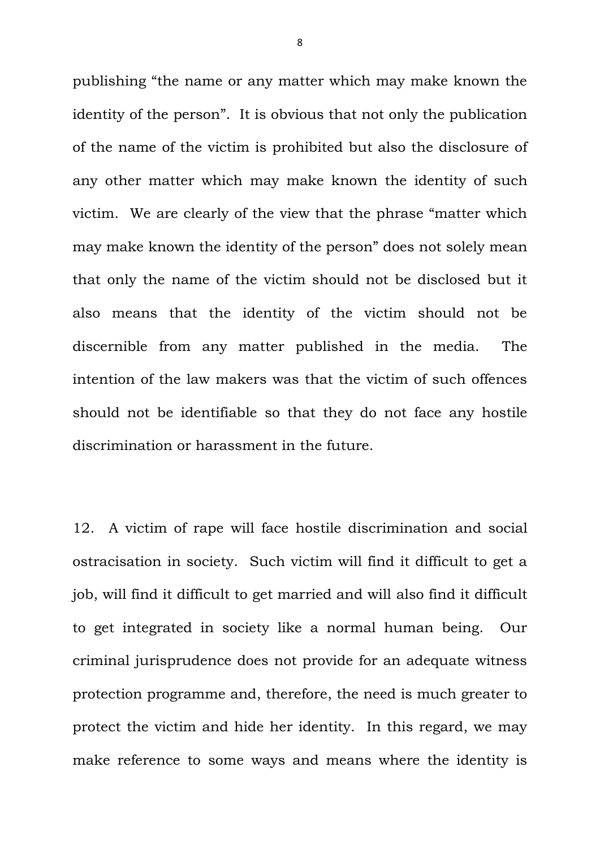publishing "the name or any matter which may make known the identity of the person". It is obvious that not only the publication of the name of the victim is prohibited but also the disclosure of any other matter which may make known the identity of such victim. We are clearly of the view that the phrase "matter which may make known the identity of the person" does not solely mean that only the name of the victim should not be disclosed but it also means that the identity of the victim should not be discernible from any matter published in the media. The intention of the law makers was that the victim of such offences should not be identifiable so that they do not face any hostile discrimination or harassment in the future.

12. A victim of rape will face hostile discrimination and social ostracisation in society. Such victim will find it difficult to get a job, will find it difficult to get married and will also find it difficult to get integrated in society like a normal human being. Our criminal jurisprudence does not provide for an adequate witness protection programme and, therefore, the need is much greater to protect the victim and hide her identity. In this regard, we may make reference to some ways and means where the identity is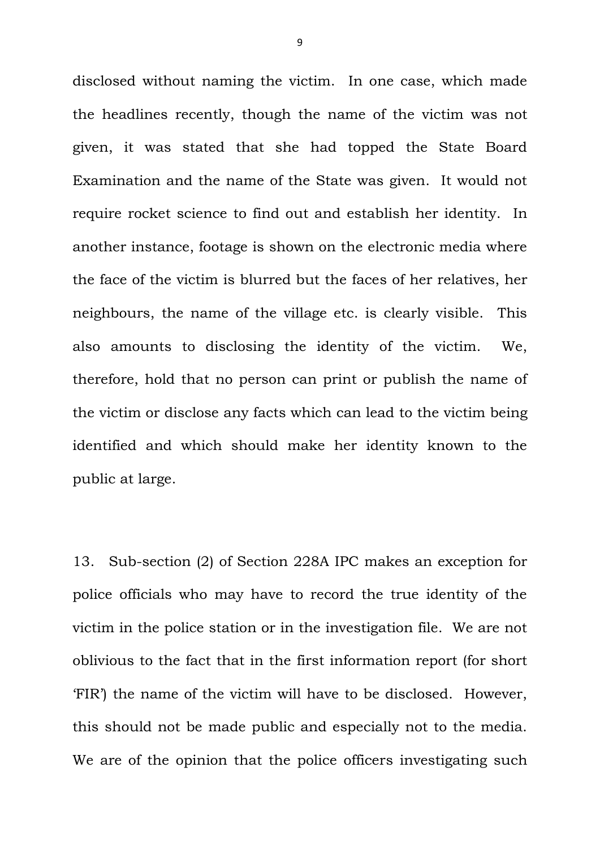disclosed without naming the victim. In one case, which made the headlines recently, though the name of the victim was not given, it was stated that she had topped the State Board Examination and the name of the State was given. It would not require rocket science to find out and establish her identity. In another instance, footage is shown on the electronic media where the face of the victim is blurred but the faces of her relatives, her neighbours, the name of the village etc. is clearly visible. This also amounts to disclosing the identity of the victim. We, therefore, hold that no person can print or publish the name of the victim or disclose any facts which can lead to the victim being identified and which should make her identity known to the public at large.

13. Sub-section (2) of Section 228A IPC makes an exception for police officials who may have to record the true identity of the victim in the police station or in the investigation file. We are not oblivious to the fact that in the first information report (for short 'FIR') the name of the victim will have to be disclosed. However, this should not be made public and especially not to the media. We are of the opinion that the police officers investigating such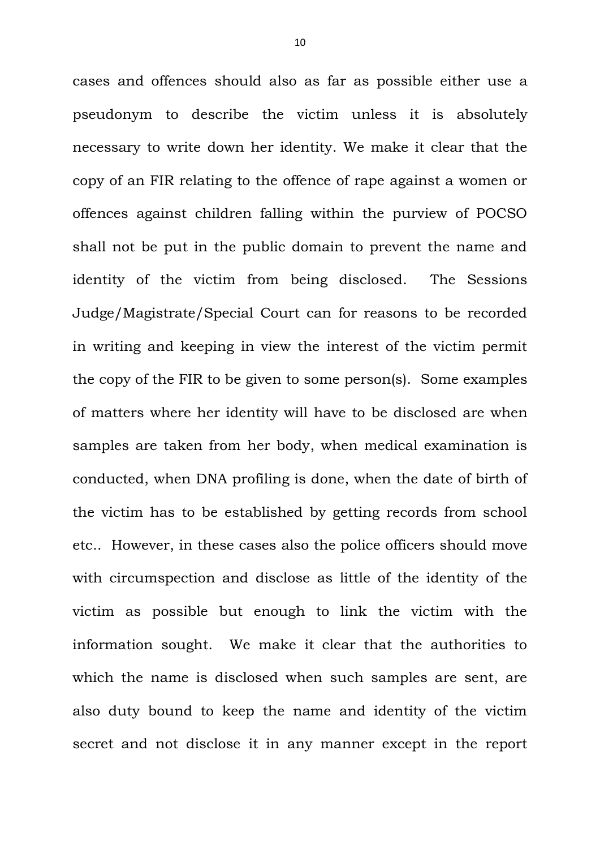cases and offences should also as far as possible either use a pseudonym to describe the victim unless it is absolutely necessary to write down her identity. We make it clear that the copy of an FIR relating to the offence of rape against a women or offences against children falling within the purview of POCSO shall not be put in the public domain to prevent the name and identity of the victim from being disclosed. The Sessions Judge/Magistrate/Special Court can for reasons to be recorded in writing and keeping in view the interest of the victim permit the copy of the FIR to be given to some person(s). Some examples of matters where her identity will have to be disclosed are when samples are taken from her body, when medical examination is conducted, when DNA profiling is done, when the date of birth of the victim has to be established by getting records from school etc.. However, in these cases also the police officers should move with circumspection and disclose as little of the identity of the victim as possible but enough to link the victim with the information sought. We make it clear that the authorities to which the name is disclosed when such samples are sent, are also duty bound to keep the name and identity of the victim secret and not disclose it in any manner except in the report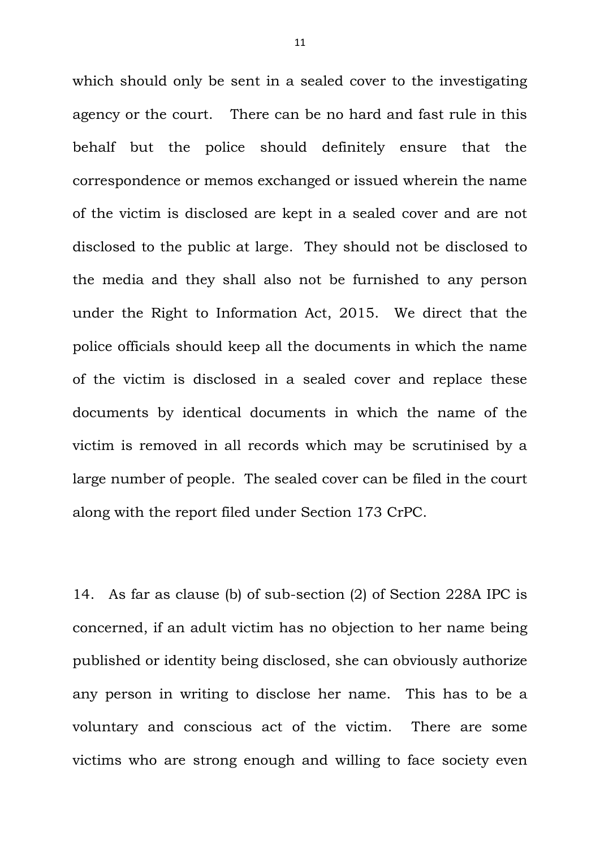which should only be sent in a sealed cover to the investigating agency or the court.There can be no hard and fast rule in this behalf but the police should definitely ensure that the correspondence or memos exchanged or issued wherein the name of the victim is disclosed are kept in a sealed cover and are not disclosed to the public at large. They should not be disclosed to the media and they shall also not be furnished to any person under the Right to Information Act, 2015. We direct that the police officials should keep all the documents in which the name of the victim is disclosed in a sealed cover and replace these documents by identical documents in which the name of the victim is removed in all records which may be scrutinised by a large number of people. The sealed cover can be filed in the court along with the report filed under Section 173 CrPC.

14. As far as clause (b) of sub-section (2) of Section 228A IPC is concerned, if an adult victim has no objection to her name being published or identity being disclosed, she can obviously authorize any person in writing to disclose her name. This has to be a voluntary and conscious act of the victim. There are some victims who are strong enough and willing to face society even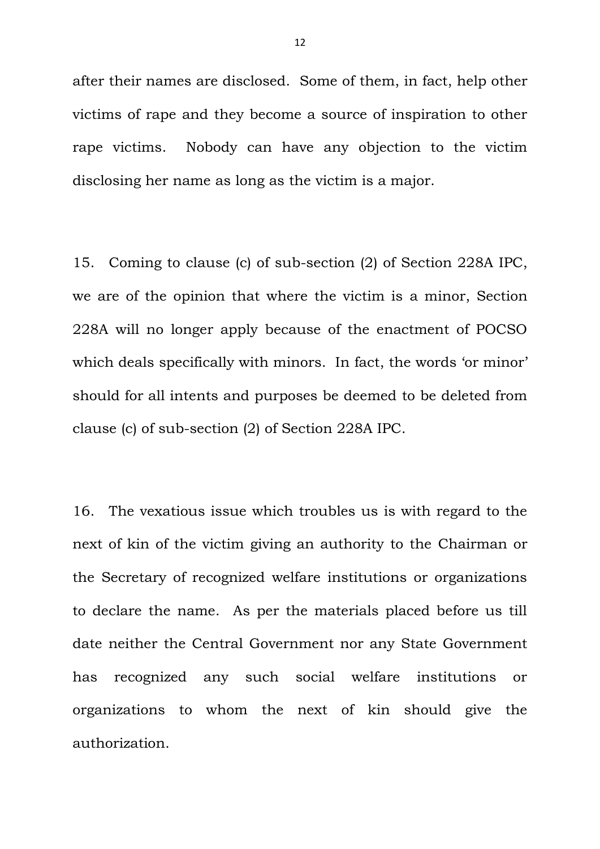after their names are disclosed. Some of them, in fact, help other victims of rape and they become a source of inspiration to other rape victims. Nobody can have any objection to the victim disclosing her name as long as the victim is a major.

15. Coming to clause (c) of sub-section (2) of Section 228A IPC, we are of the opinion that where the victim is a minor, Section 228A will no longer apply because of the enactment of POCSO which deals specifically with minors. In fact, the words 'or minor' should for all intents and purposes be deemed to be deleted from clause (c) of sub-section (2) of Section 228A IPC.

16. The vexatious issue which troubles us is with regard to the next of kin of the victim giving an authority to the Chairman or the Secretary of recognized welfare institutions or organizations to declare the name. As per the materials placed before us till date neither the Central Government nor any State Government has recognized any such social welfare institutions or organizations to whom the next of kin should give the authorization.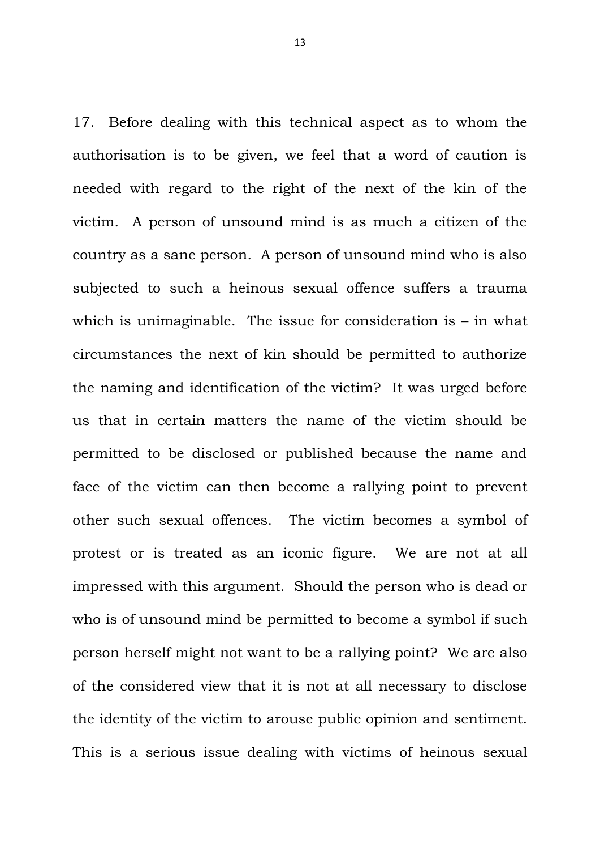17. Before dealing with this technical aspect as to whom the authorisation is to be given, we feel that a word of caution is needed with regard to the right of the next of the kin of the victim. A person of unsound mind is as much a citizen of the country as a sane person. A person of unsound mind who is also subjected to such a heinous sexual offence suffers a trauma which is unimaginable. The issue for consideration is  $-$  in what circumstances the next of kin should be permitted to authorize the naming and identification of the victim? It was urged before us that in certain matters the name of the victim should be permitted to be disclosed or published because the name and face of the victim can then become a rallying point to prevent other such sexual offences. The victim becomes a symbol of protest or is treated as an iconic figure. We are not at all impressed with this argument. Should the person who is dead or who is of unsound mind be permitted to become a symbol if such person herself might not want to be a rallying point? We are also of the considered view that it is not at all necessary to disclose the identity of the victim to arouse public opinion and sentiment. This is a serious issue dealing with victims of heinous sexual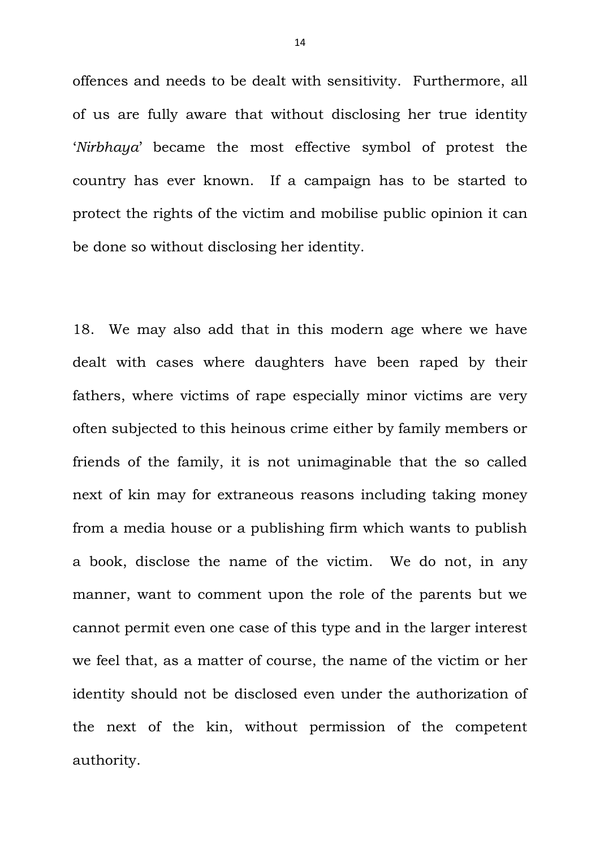offences and needs to be dealt with sensitivity. Furthermore, all of us are fully aware that without disclosing her true identity '*Nirbhaya*' became the most effective symbol of protest the country has ever known. If a campaign has to be started to protect the rights of the victim and mobilise public opinion it can be done so without disclosing her identity.

18. We may also add that in this modern age where we have dealt with cases where daughters have been raped by their fathers, where victims of rape especially minor victims are very often subjected to this heinous crime either by family members or friends of the family, it is not unimaginable that the so called next of kin may for extraneous reasons including taking money from a media house or a publishing firm which wants to publish a book, disclose the name of the victim. We do not, in any manner, want to comment upon the role of the parents but we cannot permit even one case of this type and in the larger interest we feel that, as a matter of course, the name of the victim or her identity should not be disclosed even under the authorization of the next of the kin, without permission of the competent authority.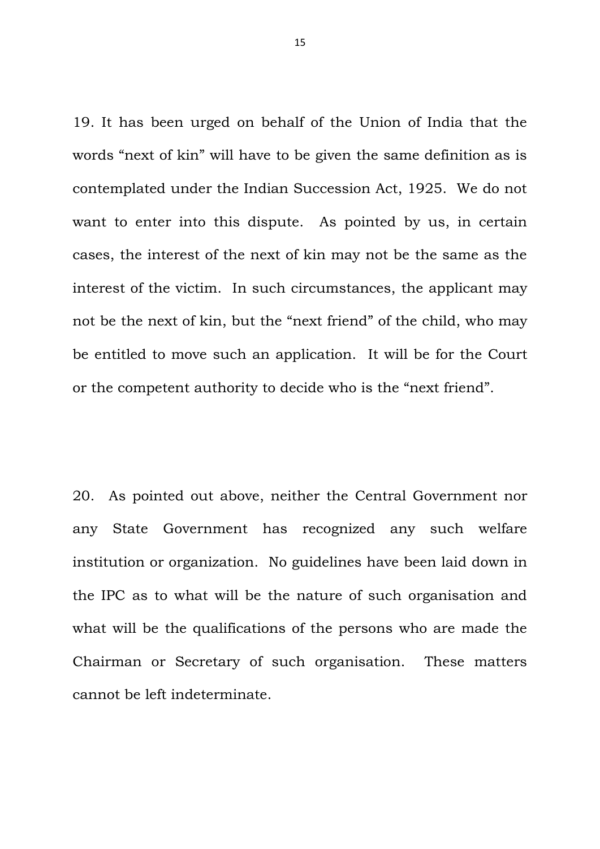19. It has been urged on behalf of the Union of India that the words "next of kin" will have to be given the same definition as is contemplated under the Indian Succession Act, 1925. We do not want to enter into this dispute. As pointed by us, in certain cases, the interest of the next of kin may not be the same as the interest of the victim. In such circumstances, the applicant may not be the next of kin, but the "next friend" of the child, who may be entitled to move such an application. It will be for the Court or the competent authority to decide who is the "next friend".

20. As pointed out above, neither the Central Government nor any State Government has recognized any such welfare institution or organization. No guidelines have been laid down in the IPC as to what will be the nature of such organisation and what will be the qualifications of the persons who are made the Chairman or Secretary of such organisation. These matters cannot be left indeterminate.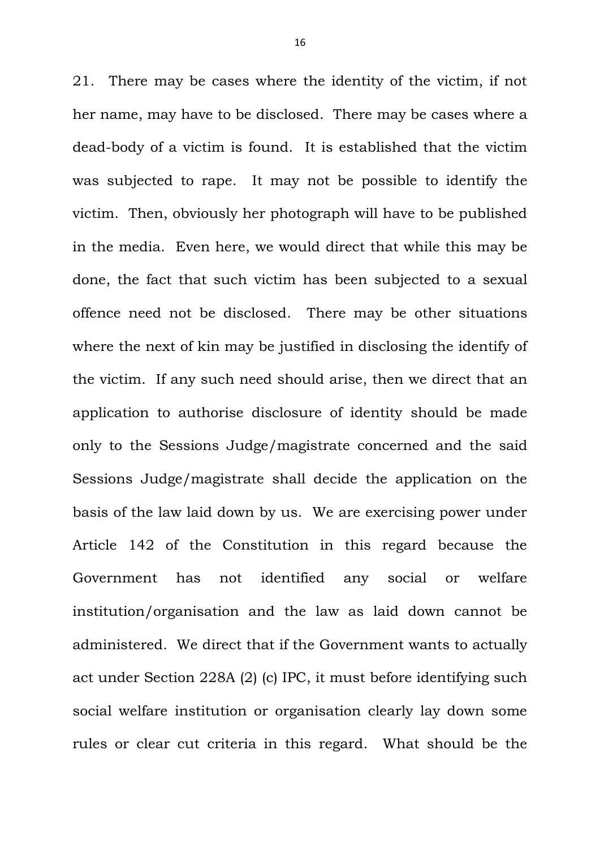21. There may be cases where the identity of the victim, if not her name, may have to be disclosed. There may be cases where a dead-body of a victim is found. It is established that the victim was subjected to rape. It may not be possible to identify the victim. Then, obviously her photograph will have to be published in the media. Even here, we would direct that while this may be done, the fact that such victim has been subjected to a sexual offence need not be disclosed. There may be other situations where the next of kin may be justified in disclosing the identify of the victim. If any such need should arise, then we direct that an application to authorise disclosure of identity should be made only to the Sessions Judge/magistrate concerned and the said Sessions Judge/magistrate shall decide the application on the basis of the law laid down by us. We are exercising power under Article 142 of the Constitution in this regard because the Government has not identified any social or welfare institution/organisation and the law as laid down cannot be administered. We direct that if the Government wants to actually act under Section 228A (2) (c) IPC, it must before identifying such social welfare institution or organisation clearly lay down some rules or clear cut criteria in this regard. What should be the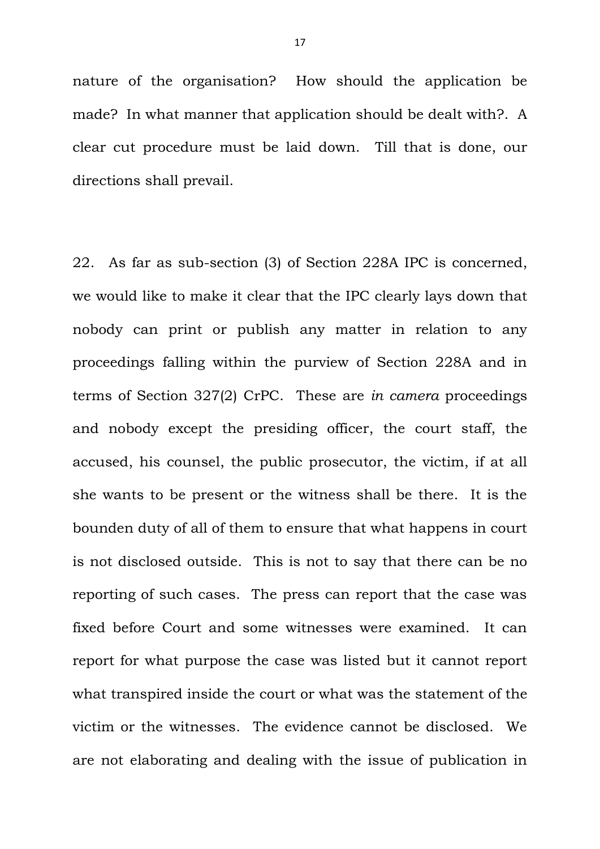nature of the organisation? How should the application be made? In what manner that application should be dealt with?. A clear cut procedure must be laid down. Till that is done, our directions shall prevail.

22. As far as sub-section (3) of Section 228A IPC is concerned, we would like to make it clear that the IPC clearly lays down that nobody can print or publish any matter in relation to any proceedings falling within the purview of Section 228A and in terms of Section 327(2) CrPC. These are *in camera* proceedings and nobody except the presiding officer, the court staff, the accused, his counsel, the public prosecutor, the victim, if at all she wants to be present or the witness shall be there. It is the bounden duty of all of them to ensure that what happens in court is not disclosed outside. This is not to say that there can be no reporting of such cases. The press can report that the case was fixed before Court and some witnesses were examined. It can report for what purpose the case was listed but it cannot report what transpired inside the court or what was the statement of the victim or the witnesses. The evidence cannot be disclosed. We are not elaborating and dealing with the issue of publication in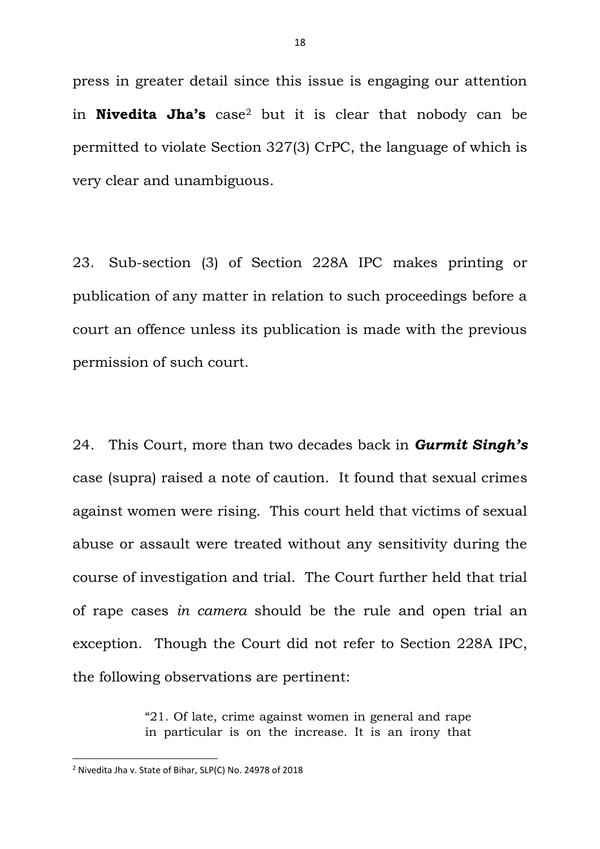press in greater detail since this issue is engaging our attention in **Nivedita Jha's** case<sup>2</sup> but it is clear that nobody can be permitted to violate Section 327(3) CrPC, the language of which is very clear and unambiguous.

23. Sub-section (3) of Section 228A IPC makes printing or publication of any matter in relation to such proceedings before a court an offence unless its publication is made with the previous permission of such court.

24. This Court, more than two decades back in *Gurmit Singh's* case (supra) raised a note of caution. It found that sexual crimes against women were rising. This court held that victims of sexual abuse or assault were treated without any sensitivity during the course of investigation and trial. The Court further held that trial of rape cases *in camera* should be the rule and open trial an exception. Though the Court did not refer to Section 228A IPC, the following observations are pertinent:

> "21. Of late, crime against women in general and rape in particular is on the increase. It is an irony that

**.** 

<sup>2</sup> Nivedita Jha v. State of Bihar, SLP(C) No. 24978 of 2018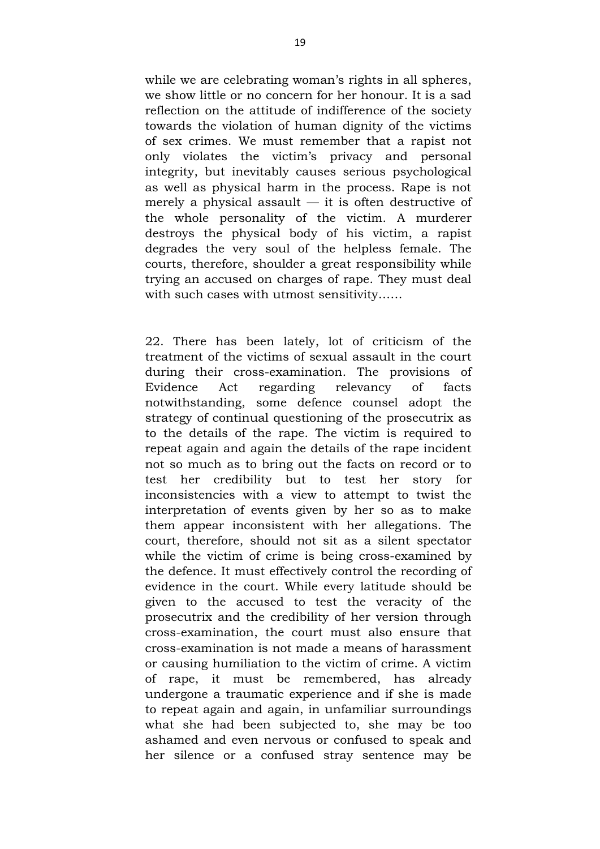while we are celebrating woman's rights in all spheres, we show little or no concern for her honour. It is a sad reflection on the attitude of indifference of the society towards the violation of human dignity of the victims of sex crimes. We must remember that a rapist not only violates the victim's privacy and personal integrity, but inevitably causes serious psychological as well as physical harm in the process. Rape is not merely a physical assault  $-$  it is often destructive of the whole personality of the victim. A murderer destroys the physical body of his victim, a rapist degrades the very soul of the helpless female. The courts, therefore, shoulder a great responsibility while trying an accused on charges of rape. They must deal with such cases with utmost sensitivity……

22. There has been lately, lot of criticism of the treatment of the victims of sexual assault in the court during their cross-examination. The provisions of Evidence Act regarding relevancy of facts notwithstanding, some defence counsel adopt the strategy of continual questioning of the prosecutrix as to the details of the rape. The victim is required to repeat again and again the details of the rape incident not so much as to bring out the facts on record or to test her credibility but to test her story for inconsistencies with a view to attempt to twist the interpretation of events given by her so as to make them appear inconsistent with her allegations. The court, therefore, should not sit as a silent spectator while the victim of crime is being cross-examined by the defence. It must effectively control the recording of evidence in the court. While every latitude should be given to the accused to test the veracity of the prosecutrix and the credibility of her version through cross-examination, the court must also ensure that cross-examination is not made a means of harassment or causing humiliation to the victim of crime. A victim of rape, it must be remembered, has already undergone a traumatic experience and if she is made to repeat again and again, in unfamiliar surroundings what she had been subjected to, she may be too ashamed and even nervous or confused to speak and her silence or a confused stray sentence may be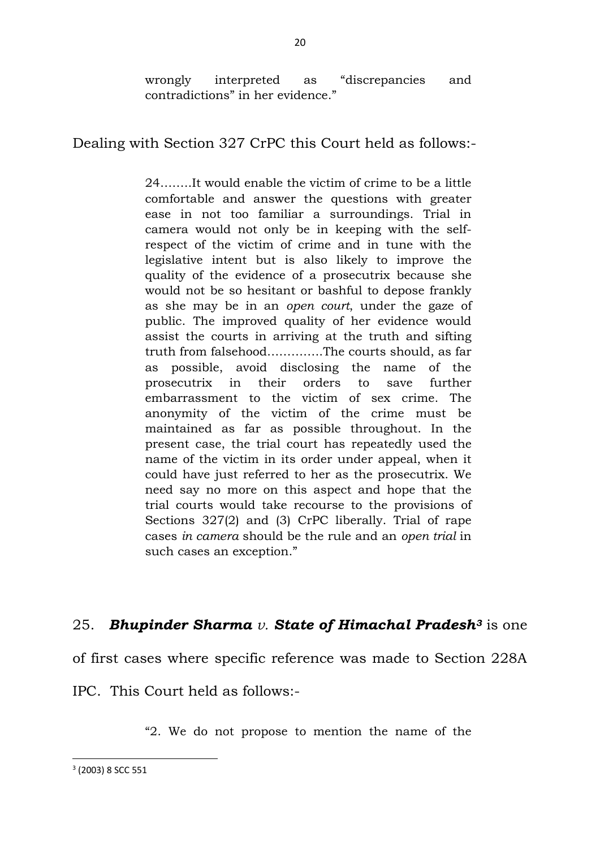wrongly interpreted as "discrepancies and contradictions" in her evidence."

Dealing with Section 327 CrPC this Court held as follows:-

24……..It would enable the victim of crime to be a little comfortable and answer the questions with greater ease in not too familiar a surroundings. Trial in camera would not only be in keeping with the selfrespect of the victim of crime and in tune with the legislative intent but is also likely to improve the quality of the evidence of a prosecutrix because she would not be so hesitant or bashful to depose frankly as she may be in an *open court*, under the gaze of public. The improved quality of her evidence would assist the courts in arriving at the truth and sifting truth from falsehood…………..The courts should, as far as possible, avoid disclosing the name of the prosecutrix in their orders to save further embarrassment to the victim of sex crime. The anonymity of the victim of the crime must be maintained as far as possible throughout. In the present case, the trial court has repeatedly used the name of the victim in its order under appeal, when it could have just referred to her as the prosecutrix. We need say no more on this aspect and hope that the trial courts would take recourse to the provisions of Sections 327(2) and (3) CrPC liberally. Trial of rape cases *in camera* should be the rule and an *open trial* in such cases an exception."

# 25. *Bhupinder Sharma v. State of Himachal Pradesh<sup>3</sup>* is one

of first cases where specific reference was made to Section 228A

IPC. This Court held as follows:-

"2. We do not propose to mention the name of the

3 (2003) 8 SCC 551

**.**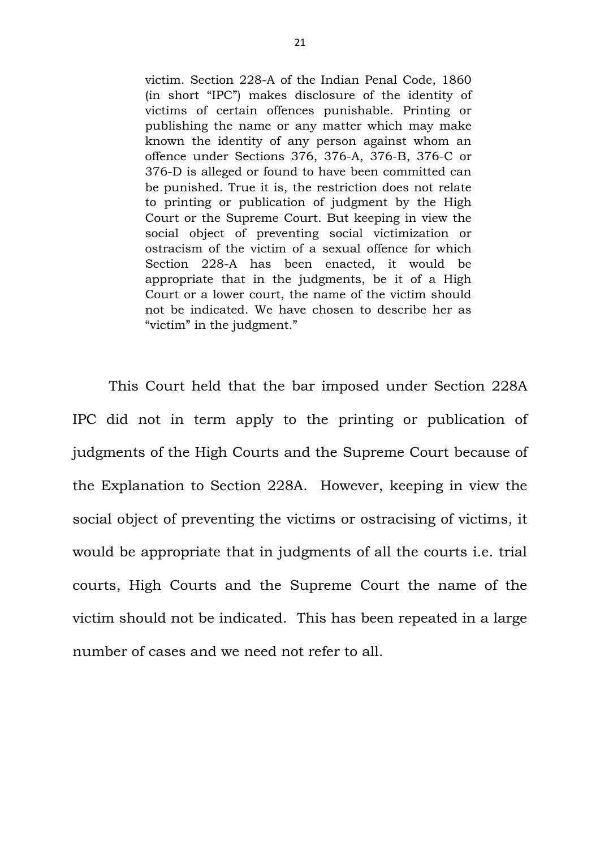victim. Section 228-A of the Indian Penal Code, 1860 (in short "IPC") makes disclosure of the identity of victims of certain offences punishable. Printing or publishing the name or any matter which may make known the identity of any person against whom an offence under Sections 376, 376-A, 376-B, 376-C or 376-D is alleged or found to have been committed can be punished. True it is, the restriction does not relate to printing or publication of judgment by the High Court or the Supreme Court. But keeping in view the social object of preventing social victimization or ostracism of the victim of a sexual offence for which Section 228-A has been enacted, it would be appropriate that in the judgments, be it of a High Court or a lower court, the name of the victim should not be indicated. We have chosen to describe her as "victim" in the judgment."

This Court held that the bar imposed under Section 228A IPC did not in term apply to the printing or publication of judgments of the High Courts and the Supreme Court because of the Explanation to Section 228A. However, keeping in view the social object of preventing the victims or ostracising of victims, it would be appropriate that in judgments of all the courts i.e. trial courts, High Courts and the Supreme Court the name of the victim should not be indicated. This has been repeated in a large number of cases and we need not refer to all.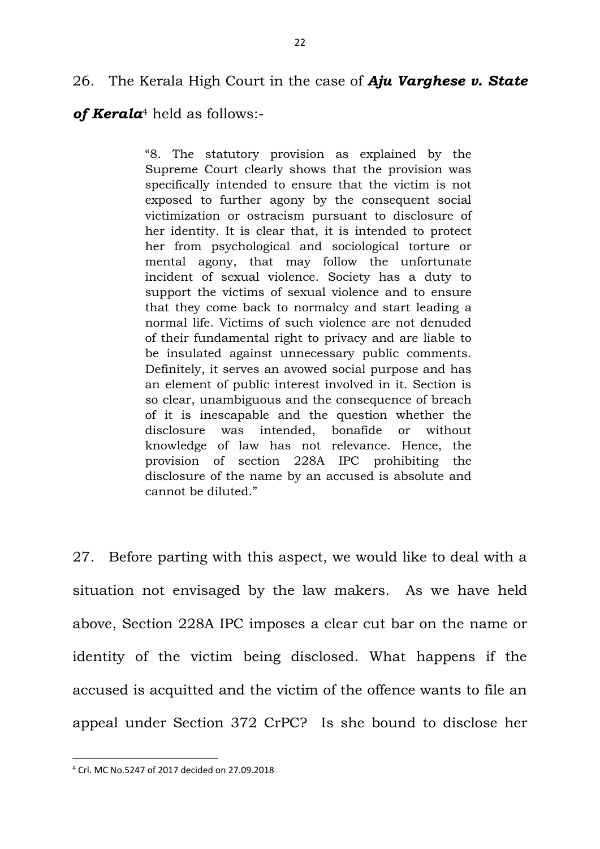# 26. The Kerala High Court in the case of *Aju Varghese v. State*

*of Kerala*<sup>4</sup> held as follows:-

"8. The statutory provision as explained by the Supreme Court clearly shows that the provision was specifically intended to ensure that the victim is not exposed to further agony by the consequent social victimization or ostracism pursuant to disclosure of her identity. It is clear that, it is intended to protect her from psychological and sociological torture or mental agony, that may follow the unfortunate incident of sexual violence. Society has a duty to support the victims of sexual violence and to ensure that they come back to normalcy and start leading a normal life. Victims of such violence are not denuded of their fundamental right to privacy and are liable to be insulated against unnecessary public comments. Definitely, it serves an avowed social purpose and has an element of public interest involved in it. Section is so clear, unambiguous and the consequence of breach of it is inescapable and the question whether the disclosure was intended, bonafide or without knowledge of law has not relevance. Hence, the provision of section 228A IPC prohibiting the disclosure of the name by an accused is absolute and cannot be diluted."

27. Before parting with this aspect, we would like to deal with a situation not envisaged by the law makers. As we have held above, Section 228A IPC imposes a clear cut bar on the name or identity of the victim being disclosed. What happens if the accused is acquitted and the victim of the offence wants to file an appeal under Section 372 CrPC? Is she bound to disclose her

**.** 

<sup>4</sup> Crl. MC No.5247 of 2017 decided on 27.09.2018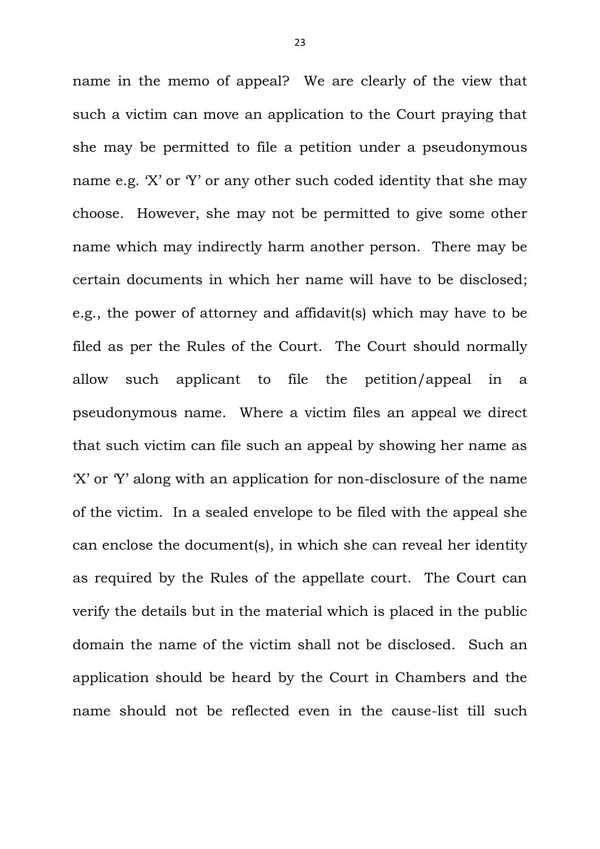name in the memo of appeal? We are clearly of the view that such a victim can move an application to the Court praying that she may be permitted to file a petition under a pseudonymous name e.g. 'X' or 'Y' or any other such coded identity that she may choose. However, she may not be permitted to give some other name which may indirectly harm another person. There may be certain documents in which her name will have to be disclosed; e.g., the power of attorney and affidavit(s) which may have to be filed as per the Rules of the Court. The Court should normally allow such applicant to file the petition/appeal in a pseudonymous name. Where a victim files an appeal we direct that such victim can file such an appeal by showing her name as 'X' or 'Y' along with an application for non-disclosure of the name of the victim. In a sealed envelope to be filed with the appeal she can enclose the document(s), in which she can reveal her identity as required by the Rules of the appellate court. The Court can verify the details but in the material which is placed in the public domain the name of the victim shall not be disclosed. Such an application should be heard by the Court in Chambers and the name should not be reflected even in the cause-list till such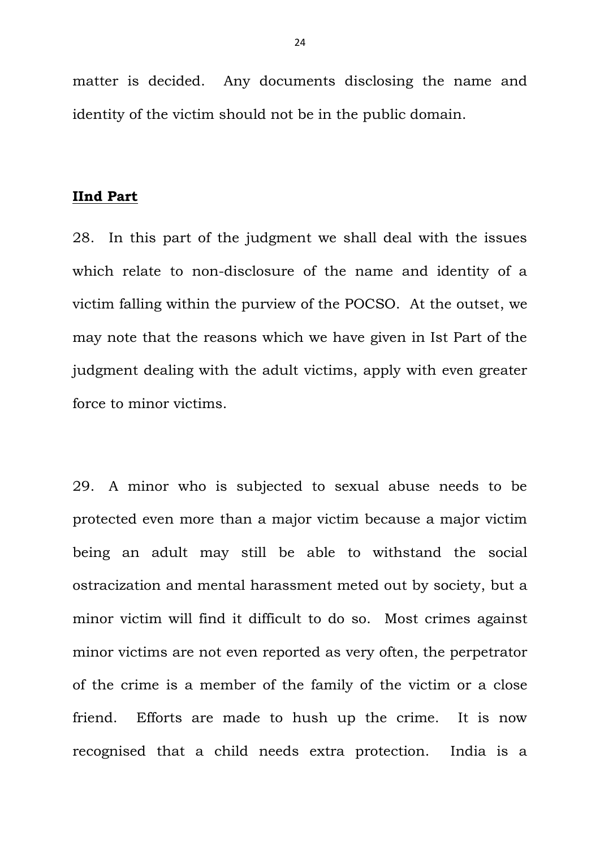matter is decided. Any documents disclosing the name and identity of the victim should not be in the public domain.

## **IInd Part**

28. In this part of the judgment we shall deal with the issues which relate to non-disclosure of the name and identity of a victim falling within the purview of the POCSO. At the outset, we may note that the reasons which we have given in Ist Part of the judgment dealing with the adult victims, apply with even greater force to minor victims.

29. A minor who is subjected to sexual abuse needs to be protected even more than a major victim because a major victim being an adult may still be able to withstand the social ostracization and mental harassment meted out by society, but a minor victim will find it difficult to do so. Most crimes against minor victims are not even reported as very often, the perpetrator of the crime is a member of the family of the victim or a close friend. Efforts are made to hush up the crime. It is now recognised that a child needs extra protection. India is a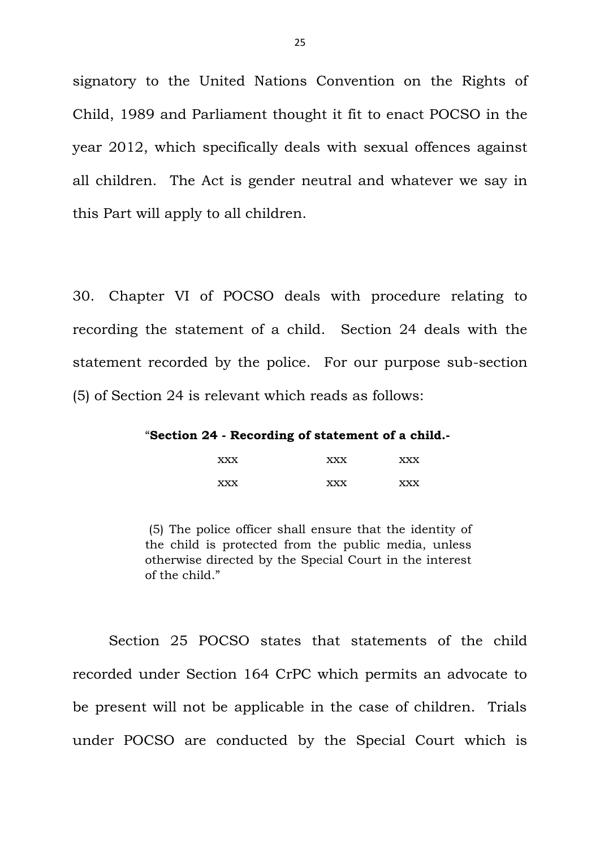signatory to the United Nations Convention on the Rights of Child, 1989 and Parliament thought it fit to enact POCSO in the year 2012, which specifically deals with sexual offences against all children. The Act is gender neutral and whatever we say in this Part will apply to all children.

30. Chapter VI of POCSO deals with procedure relating to recording the statement of a child. Section 24 deals with the statement recorded by the police. For our purpose sub-section (5) of Section 24 is relevant which reads as follows:

"**Section 24 - Recording of statement of a child.-**

| <b>XXX</b> | <b>XXX</b> | <b>XXX</b> |
|------------|------------|------------|
| <b>XXX</b> | <b>XXX</b> | <b>XXX</b> |

(5) The police officer shall ensure that the identity of the child is protected from the public media, unless otherwise directed by the Special Court in the interest of the child."

Section 25 POCSO states that statements of the child recorded under Section 164 CrPC which permits an advocate to be present will not be applicable in the case of children. Trials under POCSO are conducted by the Special Court which is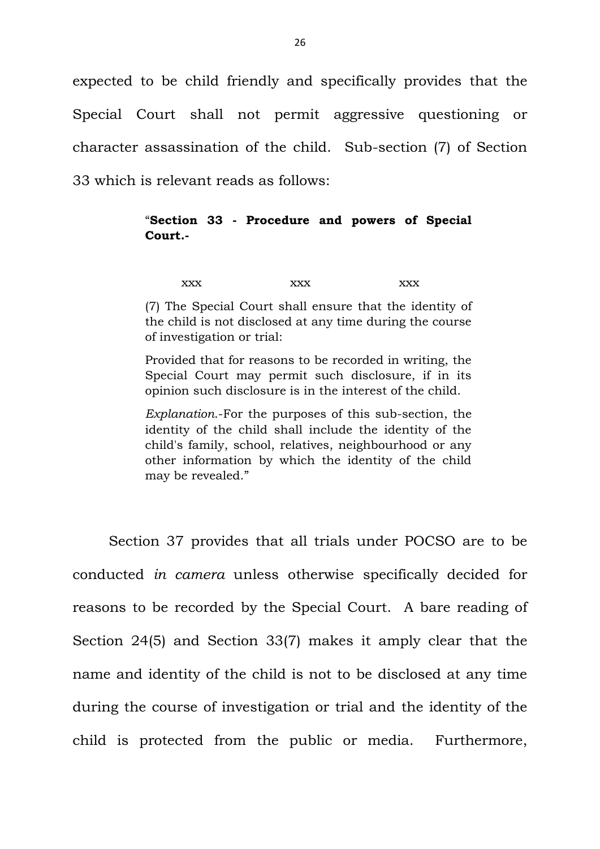expected to be child friendly and specifically provides that the Special Court shall not permit aggressive questioning or character assassination of the child. Sub-section (7) of Section 33 which is relevant reads as follows:

## "**Section 33 - Procedure and powers of Special Court.-**

xxx xxx xxx xxx

(7) The Special Court shall ensure that the identity of the child is not disclosed at any time during the course of investigation or trial:

Provided that for reasons to be recorded in writing, the Special Court may permit such disclosure, if in its opinion such disclosure is in the interest of the child.

*Explanation*.-For the purposes of this sub-section, the identity of the child shall include the identity of the child's family, school, relatives, neighbourhood or any other information by which the identity of the child may be revealed."

Section 37 provides that all trials under POCSO are to be conducted *in camera* unless otherwise specifically decided for reasons to be recorded by the Special Court. A bare reading of Section 24(5) and Section 33(7) makes it amply clear that the name and identity of the child is not to be disclosed at any time during the course of investigation or trial and the identity of the child is protected from the public or media. Furthermore,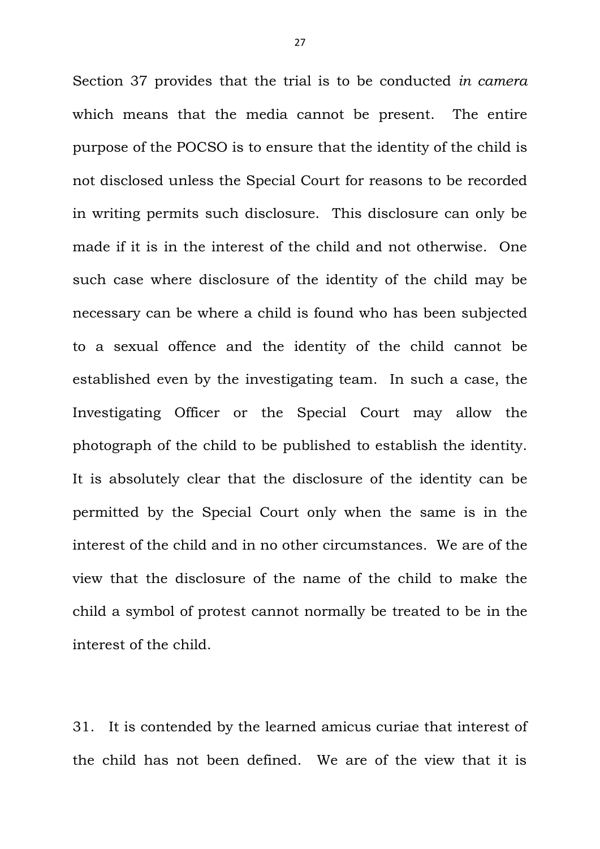Section 37 provides that the trial is to be conducted *in camera* which means that the media cannot be present. The entire purpose of the POCSO is to ensure that the identity of the child is not disclosed unless the Special Court for reasons to be recorded in writing permits such disclosure. This disclosure can only be made if it is in the interest of the child and not otherwise. One such case where disclosure of the identity of the child may be necessary can be where a child is found who has been subjected to a sexual offence and the identity of the child cannot be established even by the investigating team. In such a case, the Investigating Officer or the Special Court may allow the photograph of the child to be published to establish the identity. It is absolutely clear that the disclosure of the identity can be permitted by the Special Court only when the same is in the interest of the child and in no other circumstances. We are of the view that the disclosure of the name of the child to make the child a symbol of protest cannot normally be treated to be in the interest of the child.

31. It is contended by the learned amicus curiae that interest of the child has not been defined. We are of the view that it is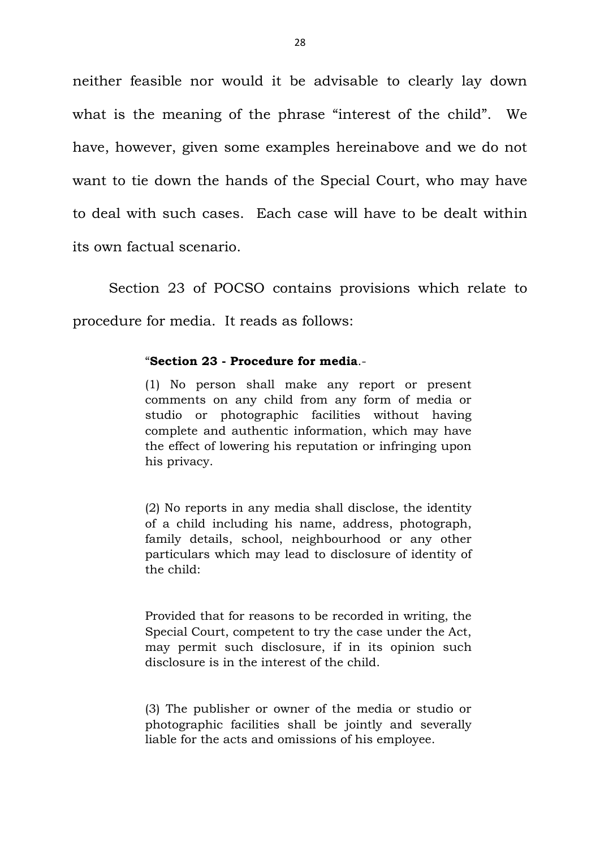neither feasible nor would it be advisable to clearly lay down what is the meaning of the phrase "interest of the child". We have, however, given some examples hereinabove and we do not want to tie down the hands of the Special Court, who may have to deal with such cases. Each case will have to be dealt within its own factual scenario.

Section 23 of POCSO contains provisions which relate to procedure for media. It reads as follows:

#### "**Section 23 - Procedure for media**.-

(1) No person shall make any report or present comments on any child from any form of media or studio or photographic facilities without having complete and authentic information, which may have the effect of lowering his reputation or infringing upon his privacy.

(2) No reports in any media shall disclose, the identity of a child including his name, address, photograph, family details, school, neighbourhood or any other particulars which may lead to disclosure of identity of the child:

Provided that for reasons to be recorded in writing, the Special Court, competent to try the case under the Act, may permit such disclosure, if in its opinion such disclosure is in the interest of the child.

(3) The publisher or owner of the media or studio or photographic facilities shall be jointly and severally liable for the acts and omissions of his employee.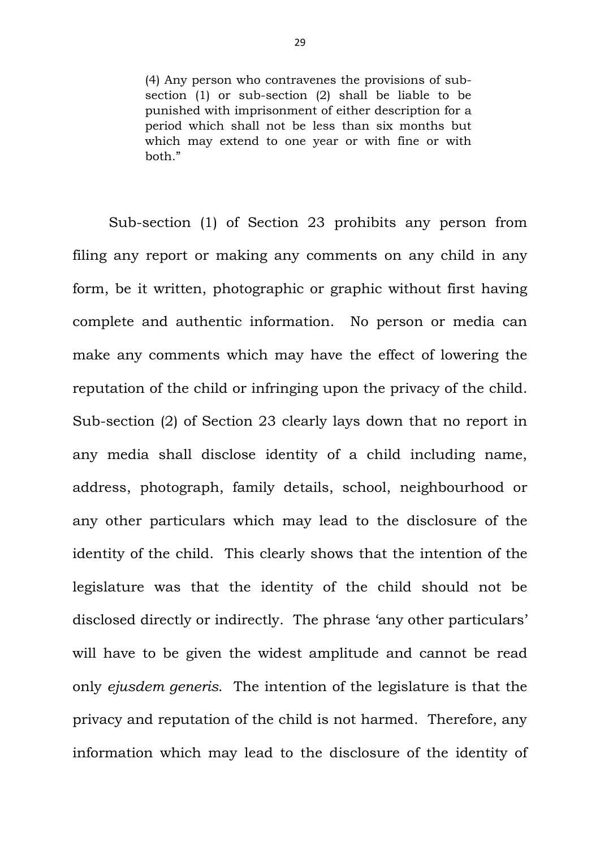(4) Any person who contravenes the provisions of subsection (1) or sub-section (2) shall be liable to be punished with imprisonment of either description for a period which shall not be less than six months but which may extend to one year or with fine or with both."

Sub-section (1) of Section 23 prohibits any person from filing any report or making any comments on any child in any form, be it written, photographic or graphic without first having complete and authentic information. No person or media can make any comments which may have the effect of lowering the reputation of the child or infringing upon the privacy of the child. Sub-section (2) of Section 23 clearly lays down that no report in any media shall disclose identity of a child including name, address, photograph, family details, school, neighbourhood or any other particulars which may lead to the disclosure of the identity of the child. This clearly shows that the intention of the legislature was that the identity of the child should not be disclosed directly or indirectly. The phrase 'any other particulars' will have to be given the widest amplitude and cannot be read only *ejusdem generis*. The intention of the legislature is that the privacy and reputation of the child is not harmed. Therefore, any information which may lead to the disclosure of the identity of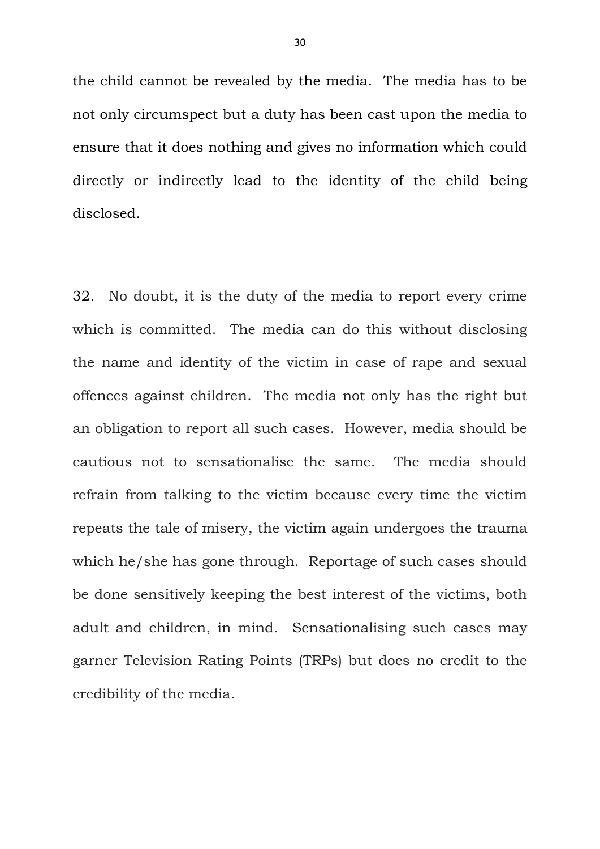the child cannot be revealed by the media. The media has to be not only circumspect but a duty has been cast upon the media to ensure that it does nothing and gives no information which could directly or indirectly lead to the identity of the child being disclosed.

32. No doubt, it is the duty of the media to report every crime which is committed. The media can do this without disclosing the name and identity of the victim in case of rape and sexual offences against children. The media not only has the right but an obligation to report all such cases. However, media should be cautious not to sensationalise the same. The media should refrain from talking to the victim because every time the victim repeats the tale of misery, the victim again undergoes the trauma which he/she has gone through. Reportage of such cases should be done sensitively keeping the best interest of the victims, both adult and children, in mind. Sensationalising such cases may garner Television Rating Points (TRPs) but does no credit to the credibility of the media.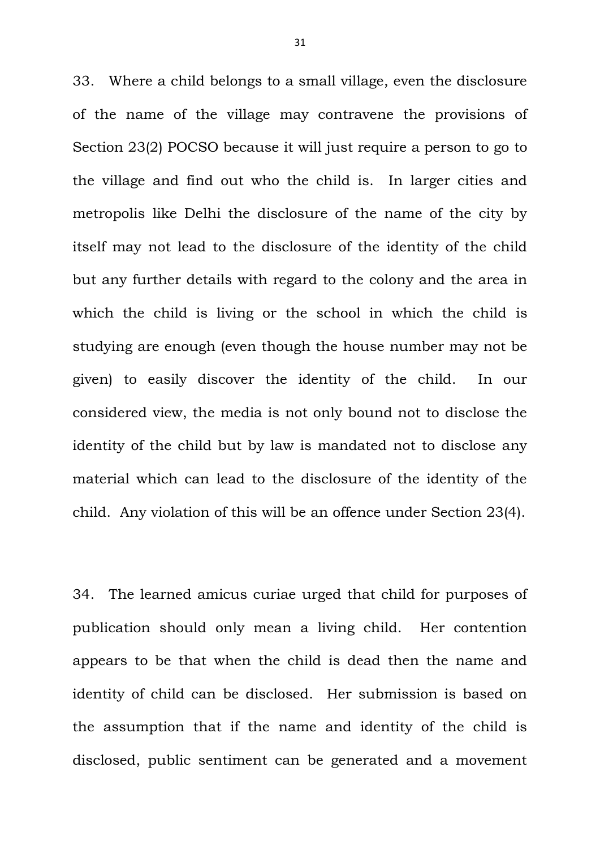33. Where a child belongs to a small village, even the disclosure of the name of the village may contravene the provisions of Section 23(2) POCSO because it will just require a person to go to the village and find out who the child is. In larger cities and metropolis like Delhi the disclosure of the name of the city by itself may not lead to the disclosure of the identity of the child but any further details with regard to the colony and the area in which the child is living or the school in which the child is studying are enough (even though the house number may not be given) to easily discover the identity of the child. In our considered view, the media is not only bound not to disclose the identity of the child but by law is mandated not to disclose any material which can lead to the disclosure of the identity of the child. Any violation of this will be an offence under Section 23(4).

34. The learned amicus curiae urged that child for purposes of publication should only mean a living child. Her contention appears to be that when the child is dead then the name and identity of child can be disclosed. Her submission is based on the assumption that if the name and identity of the child is disclosed, public sentiment can be generated and a movement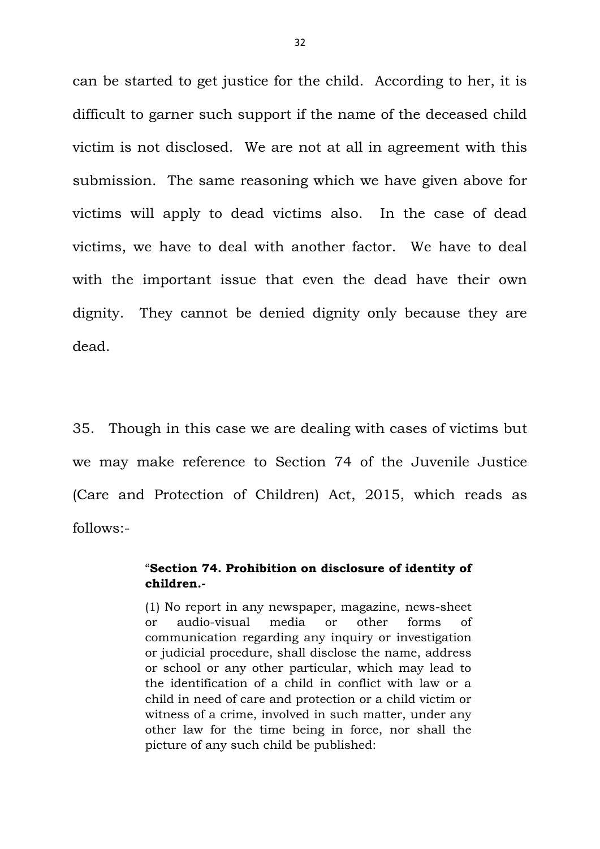can be started to get justice for the child. According to her, it is difficult to garner such support if the name of the deceased child victim is not disclosed. We are not at all in agreement with this submission. The same reasoning which we have given above for victims will apply to dead victims also. In the case of dead victims, we have to deal with another factor. We have to deal with the important issue that even the dead have their own dignity. They cannot be denied dignity only because they are dead.

35. Though in this case we are dealing with cases of victims but we may make reference to Section 74 of the Juvenile Justice (Care and Protection of Children) Act, 2015, which reads as follows:-

#### "**Section 74. Prohibition on disclosure of identity of children.-**

(1) No report in any newspaper, magazine, news-sheet or audio-visual media or other forms of communication regarding any inquiry or investigation or judicial procedure, shall disclose the name, address or school or any other particular, which may lead to the identification of a child in conflict with law or a child in need of care and protection or a child victim or witness of a crime, involved in such matter, under any other law for the time being in force, nor shall the picture of any such child be published: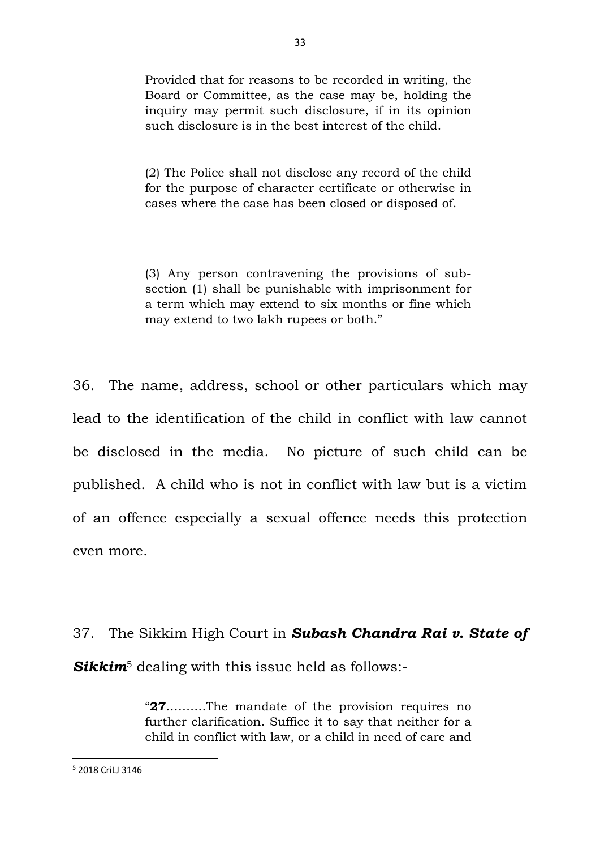Provided that for reasons to be recorded in writing, the Board or Committee, as the case may be, holding the inquiry may permit such disclosure, if in its opinion such disclosure is in the best interest of the child.

(2) The Police shall not disclose any record of the child for the purpose of character certificate or otherwise in cases where the case has been closed or disposed of.

(3) Any person contravening the provisions of subsection (1) shall be punishable with imprisonment for a term which may extend to six months or fine which may extend to two lakh rupees or both."

36. The name, address, school or other particulars which may lead to the identification of the child in conflict with law cannot be disclosed in the media. No picture of such child can be published. A child who is not in conflict with law but is a victim of an offence especially a sexual offence needs this protection even more.

# 37. The Sikkim High Court in *Subash Chandra Rai v. State of*  **Sikkim**<sup>5</sup> dealing with this issue held as follows:-

"**27**……….The mandate of the provision requires no further clarification. Suffice it to say that neither for a child in conflict with law, or a child in need of care and

**.** 

<sup>5</sup> 2018 CriLJ 3146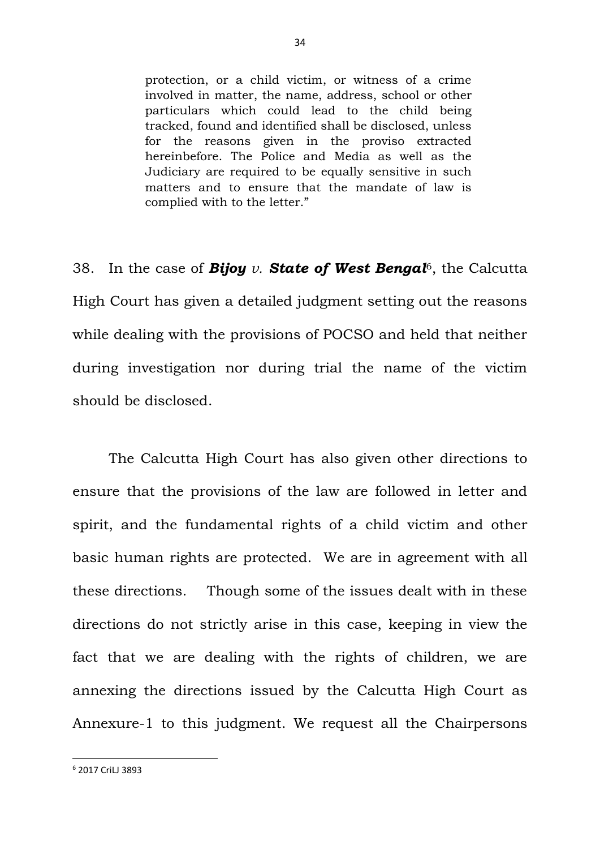protection, or a child victim, or witness of a crime involved in matter, the name, address, school or other particulars which could lead to the child being tracked, found and identified shall be disclosed, unless for the reasons given in the proviso extracted hereinbefore. The Police and Media as well as the Judiciary are required to be equally sensitive in such matters and to ensure that the mandate of law is complied with to the letter."

38. In the case of *Bijoy v. State of West Bengal*6, the Calcutta High Court has given a detailed judgment setting out the reasons while dealing with the provisions of POCSO and held that neither during investigation nor during trial the name of the victim should be disclosed.

The Calcutta High Court has also given other directions to ensure that the provisions of the law are followed in letter and spirit, and the fundamental rights of a child victim and other basic human rights are protected. We are in agreement with all these directions. Though some of the issues dealt with in these directions do not strictly arise in this case, keeping in view the fact that we are dealing with the rights of children, we are annexing the directions issued by the Calcutta High Court as Annexure-1 to this judgment. We request all the Chairpersons

**.** 

<sup>6</sup> 2017 CriLJ 3893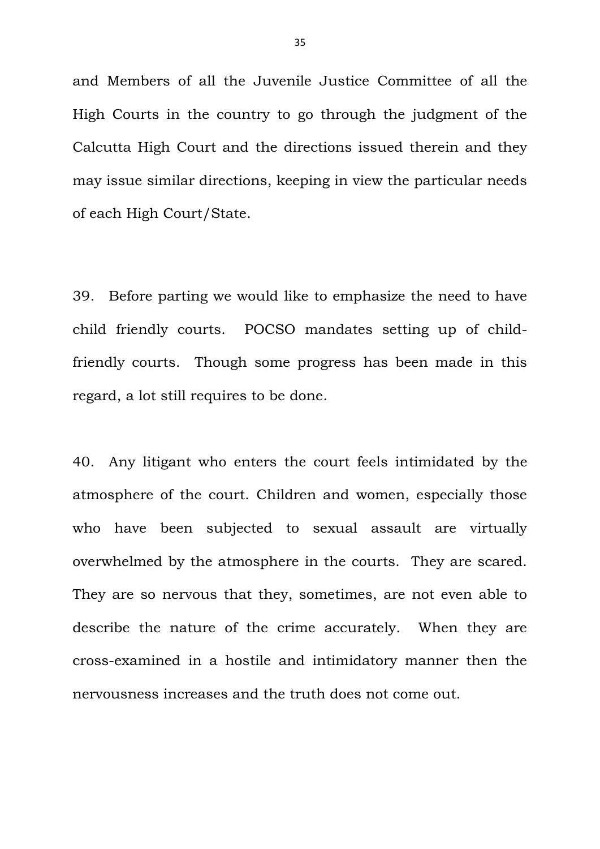and Members of all the Juvenile Justice Committee of all the High Courts in the country to go through the judgment of the Calcutta High Court and the directions issued therein and they may issue similar directions, keeping in view the particular needs of each High Court/State.

39. Before parting we would like to emphasize the need to have child friendly courts. POCSO mandates setting up of childfriendly courts. Though some progress has been made in this regard, a lot still requires to be done.

40. Any litigant who enters the court feels intimidated by the atmosphere of the court. Children and women, especially those who have been subjected to sexual assault are virtually overwhelmed by the atmosphere in the courts. They are scared. They are so nervous that they, sometimes, are not even able to describe the nature of the crime accurately. When they are cross-examined in a hostile and intimidatory manner then the nervousness increases and the truth does not come out.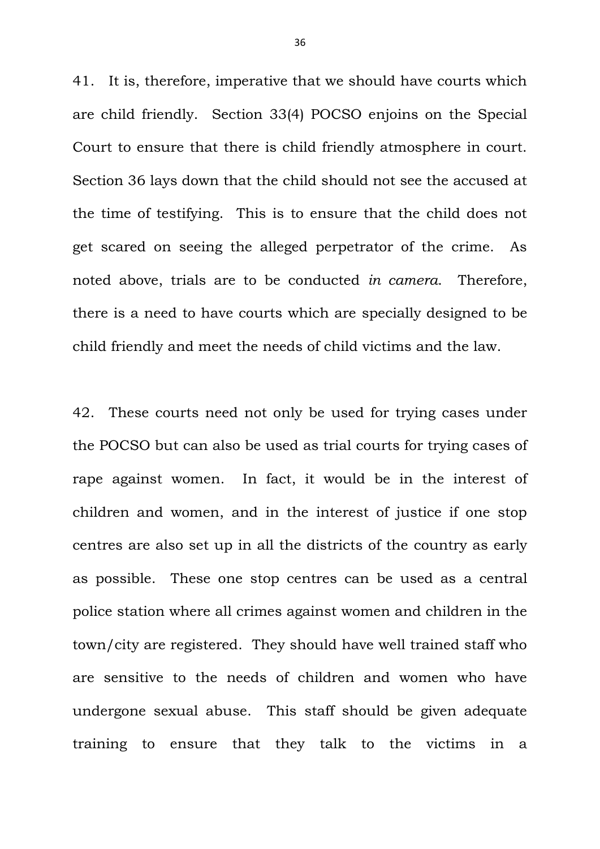41. It is, therefore, imperative that we should have courts which are child friendly. Section 33(4) POCSO enjoins on the Special Court to ensure that there is child friendly atmosphere in court. Section 36 lays down that the child should not see the accused at the time of testifying. This is to ensure that the child does not get scared on seeing the alleged perpetrator of the crime. As noted above, trials are to be conducted *in camera*. Therefore, there is a need to have courts which are specially designed to be child friendly and meet the needs of child victims and the law.

42. These courts need not only be used for trying cases under the POCSO but can also be used as trial courts for trying cases of rape against women. In fact, it would be in the interest of children and women, and in the interest of justice if one stop centres are also set up in all the districts of the country as early as possible. These one stop centres can be used as a central police station where all crimes against women and children in the town/city are registered. They should have well trained staff who are sensitive to the needs of children and women who have undergone sexual abuse. This staff should be given adequate training to ensure that they talk to the victims in a

36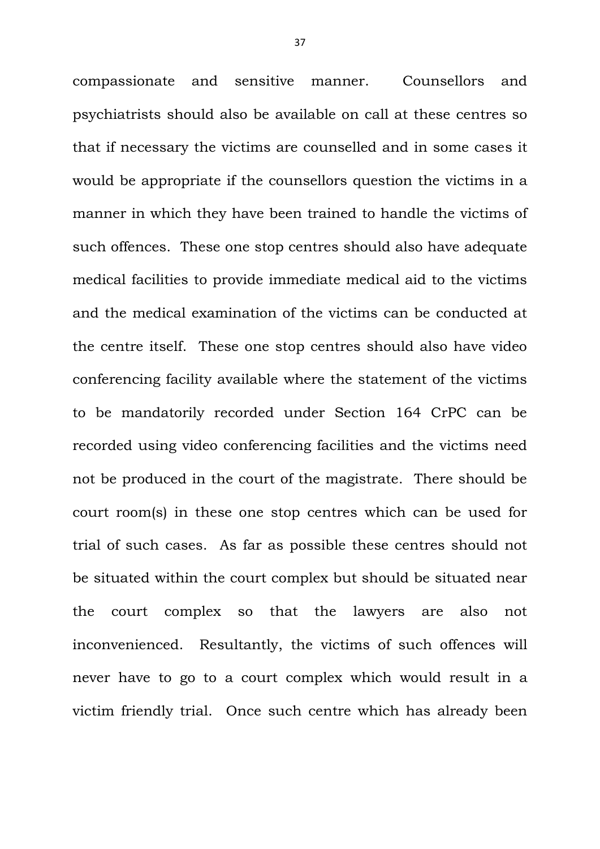compassionate and sensitive manner. Counsellors and psychiatrists should also be available on call at these centres so that if necessary the victims are counselled and in some cases it would be appropriate if the counsellors question the victims in a manner in which they have been trained to handle the victims of such offences. These one stop centres should also have adequate medical facilities to provide immediate medical aid to the victims and the medical examination of the victims can be conducted at the centre itself. These one stop centres should also have video conferencing facility available where the statement of the victims to be mandatorily recorded under Section 164 CrPC can be recorded using video conferencing facilities and the victims need not be produced in the court of the magistrate. There should be court room(s) in these one stop centres which can be used for trial of such cases. As far as possible these centres should not be situated within the court complex but should be situated near the court complex so that the lawyers are also not inconvenienced. Resultantly, the victims of such offences will never have to go to a court complex which would result in a victim friendly trial. Once such centre which has already been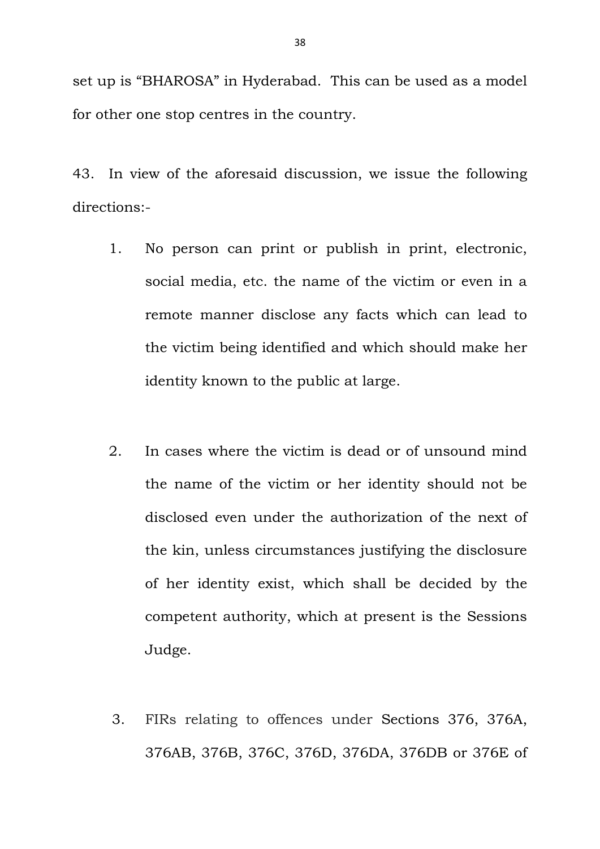set up is "BHAROSA" in Hyderabad. This can be used as a model for other one stop centres in the country.

43. In view of the aforesaid discussion, we issue the following directions:-

- 1. No person can print or publish in print, electronic, social media, etc. the name of the victim or even in a remote manner disclose any facts which can lead to the victim being identified and which should make her identity known to the public at large.
- 2. In cases where the victim is dead or of unsound mind the name of the victim or her identity should not be disclosed even under the authorization of the next of the kin, unless circumstances justifying the disclosure of her identity exist, which shall be decided by the competent authority, which at present is the Sessions Judge.
- 3. FIRs relating to offences under Sections 376, 376A, 376AB, 376B, 376C, 376D, 376DA, 376DB or 376E of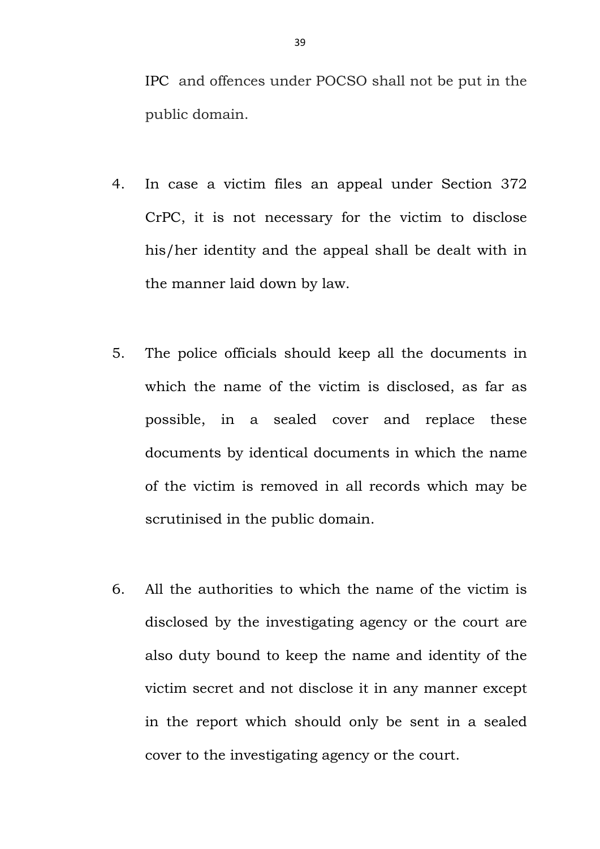IPC and offences under POCSO shall not be put in the public domain.

- 4. In case a victim files an appeal under Section 372 CrPC, it is not necessary for the victim to disclose his/her identity and the appeal shall be dealt with in the manner laid down by law.
- 5. The police officials should keep all the documents in which the name of the victim is disclosed, as far as possible, in a sealed cover and replace these documents by identical documents in which the name of the victim is removed in all records which may be scrutinised in the public domain.
- 6. All the authorities to which the name of the victim is disclosed by the investigating agency or the court are also duty bound to keep the name and identity of the victim secret and not disclose it in any manner except in the report which should only be sent in a sealed cover to the investigating agency or the court.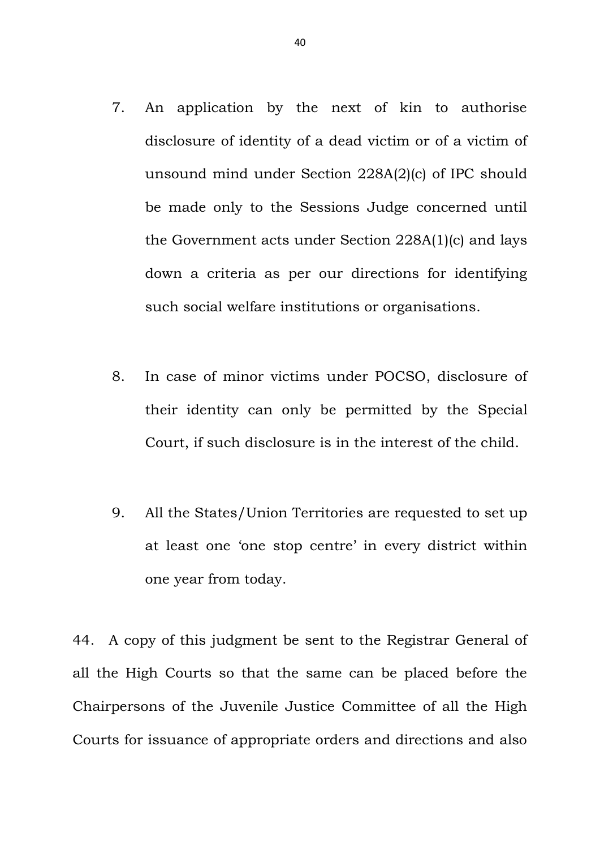- 7. An application by the next of kin to authorise disclosure of identity of a dead victim or of a victim of unsound mind under Section 228A(2)(c) of IPC should be made only to the Sessions Judge concerned until the Government acts under Section 228A(1)(c) and lays down a criteria as per our directions for identifying such social welfare institutions or organisations.
- 8. In case of minor victims under POCSO, disclosure of their identity can only be permitted by the Special Court, if such disclosure is in the interest of the child.
- 9. All the States/Union Territories are requested to set up at least one 'one stop centre' in every district within one year from today.

44. A copy of this judgment be sent to the Registrar General of all the High Courts so that the same can be placed before the Chairpersons of the Juvenile Justice Committee of all the High Courts for issuance of appropriate orders and directions and also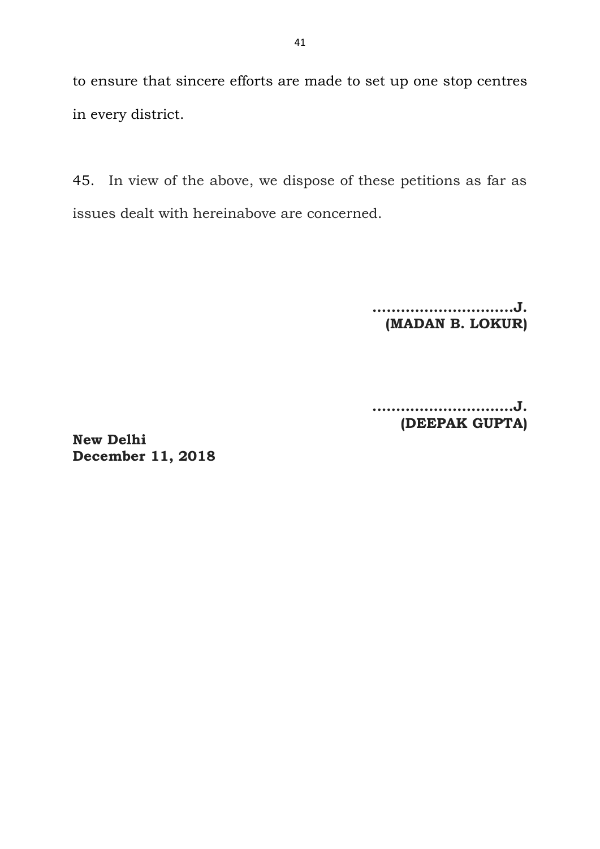to ensure that sincere efforts are made to set up one stop centres in every district.

45. In view of the above, we dispose of these petitions as far as issues dealt with hereinabove are concerned.

> **….……………………..J. (MADAN B. LOKUR)**

**.….…………………….J. (DEEPAK GUPTA)**

**New Delhi December 11, 2018**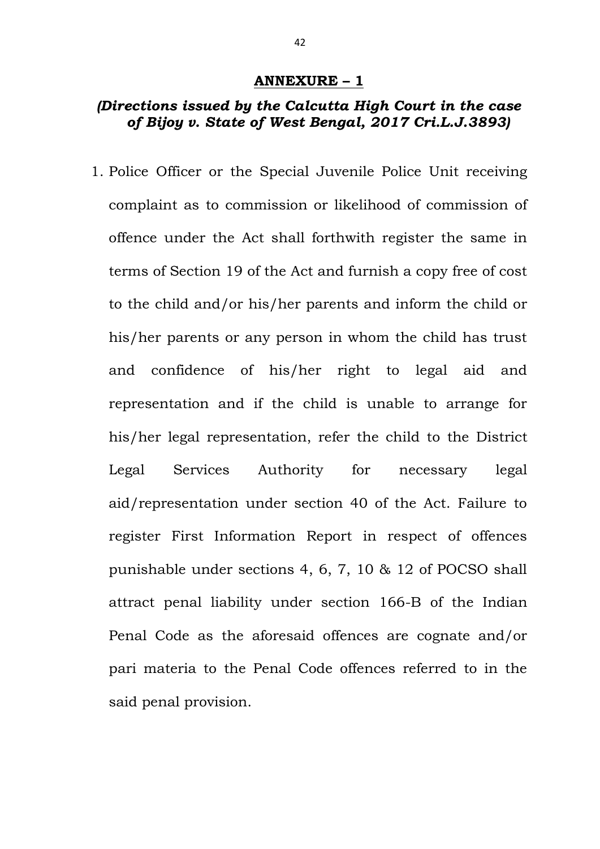#### **ANNEXURE – 1**

## *(Directions issued by the Calcutta High Court in the case of Bijoy v. State of West Bengal, 2017 Cri.L.J.3893)*

1. Police Officer or the Special Juvenile Police Unit receiving complaint as to commission or likelihood of commission of offence under the Act shall forthwith register the same in terms of Section 19 of the Act and furnish a copy free of cost to the child and/or his/her parents and inform the child or his/her parents or any person in whom the child has trust and confidence of his/her right to legal aid and representation and if the child is unable to arrange for his/her legal representation, refer the child to the District Legal Services Authority for necessary legal aid/representation under section 40 of the Act. Failure to register First Information Report in respect of offences punishable under sections 4, 6, 7, 10 & 12 of POCSO shall attract penal liability under section 166-B of the Indian Penal Code as the aforesaid offences are cognate and/or pari materia to the Penal Code offences referred to in the said penal provision.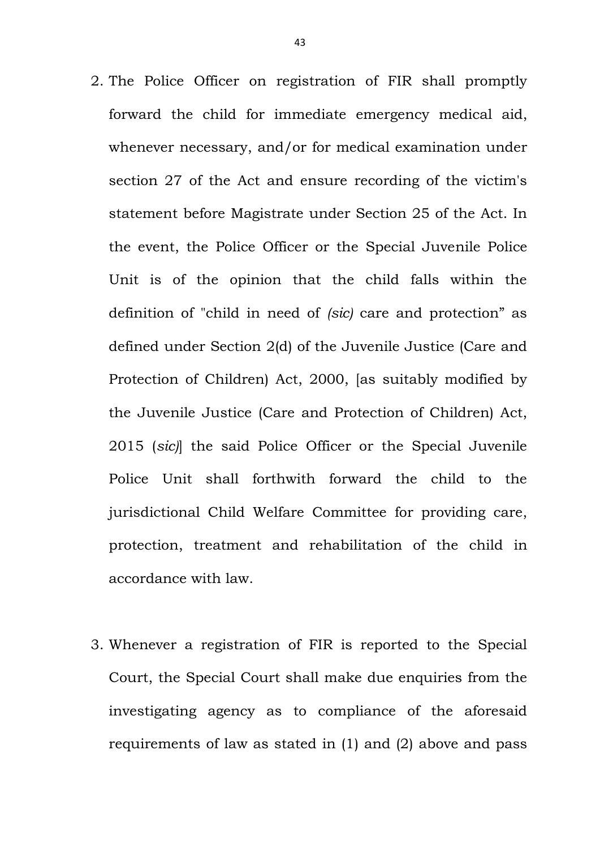- 2. The Police Officer on registration of FIR shall promptly forward the child for immediate emergency medical aid, whenever necessary, and/or for medical examination under section 27 of the Act and ensure recording of the victim's statement before Magistrate under Section 25 of the Act. In the event, the Police Officer or the Special Juvenile Police Unit is of the opinion that the child falls within the definition of "child in need of *(sic)* care and protection" as defined under Section 2(d) of the Juvenile Justice (Care and Protection of Children) Act, 2000, [as suitably modified by the Juvenile Justice (Care and Protection of Children) Act, 2015 (*sic)*] the said Police Officer or the Special Juvenile Police Unit shall forthwith forward the child to the jurisdictional Child Welfare Committee for providing care, protection, treatment and rehabilitation of the child in accordance with law.
- 3. Whenever a registration of FIR is reported to the Special Court, the Special Court shall make due enquiries from the investigating agency as to compliance of the aforesaid requirements of law as stated in (1) and (2) above and pass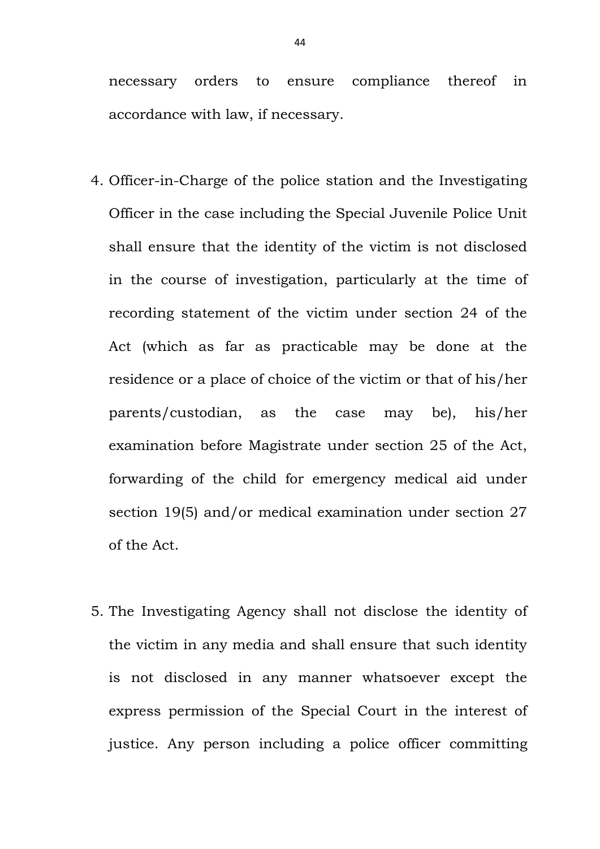necessary orders to ensure compliance thereof in accordance with law, if necessary.

- 4. Officer-in-Charge of the police station and the Investigating Officer in the case including the Special Juvenile Police Unit shall ensure that the identity of the victim is not disclosed in the course of investigation, particularly at the time of recording statement of the victim under section 24 of the Act (which as far as practicable may be done at the residence or a place of choice of the victim or that of his/her parents/custodian, as the case may be), his/her examination before Magistrate under section 25 of the Act, forwarding of the child for emergency medical aid under section 19(5) and/or medical examination under section 27 of the Act.
- 5. The Investigating Agency shall not disclose the identity of the victim in any media and shall ensure that such identity is not disclosed in any manner whatsoever except the express permission of the Special Court in the interest of justice. Any person including a police officer committing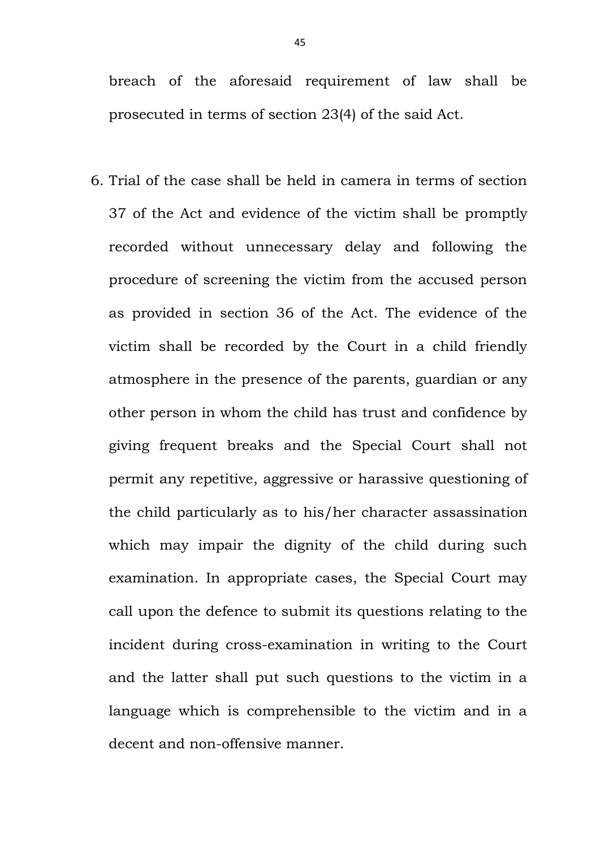breach of the aforesaid requirement of law shall be prosecuted in terms of section 23(4) of the said Act.

6. Trial of the case shall be held in camera in terms of section 37 of the Act and evidence of the victim shall be promptly recorded without unnecessary delay and following the procedure of screening the victim from the accused person as provided in section 36 of the Act. The evidence of the victim shall be recorded by the Court in a child friendly atmosphere in the presence of the parents, guardian or any other person in whom the child has trust and confidence by giving frequent breaks and the Special Court shall not permit any repetitive, aggressive or harassive questioning of the child particularly as to his/her character assassination which may impair the dignity of the child during such examination. In appropriate cases, the Special Court may call upon the defence to submit its questions relating to the incident during cross-examination in writing to the Court and the latter shall put such questions to the victim in a language which is comprehensible to the victim and in a decent and non-offensive manner.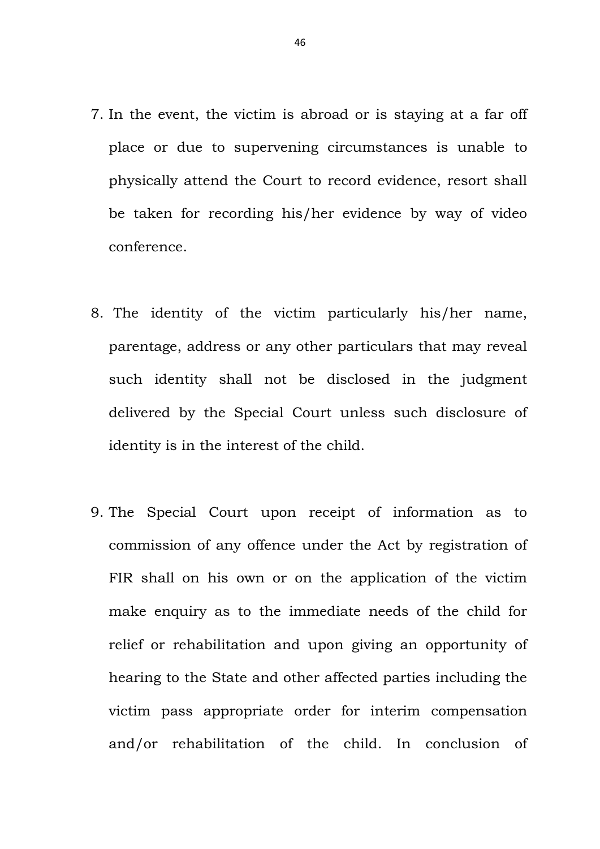- 7. In the event, the victim is abroad or is staying at a far off place or due to supervening circumstances is unable to physically attend the Court to record evidence, resort shall be taken for recording his/her evidence by way of video conference.
- 8. The identity of the victim particularly his/her name, parentage, address or any other particulars that may reveal such identity shall not be disclosed in the judgment delivered by the Special Court unless such disclosure of identity is in the interest of the child.
- 9. The Special Court upon receipt of information as to commission of any offence under the Act by registration of FIR shall on his own or on the application of the victim make enquiry as to the immediate needs of the child for relief or rehabilitation and upon giving an opportunity of hearing to the State and other affected parties including the victim pass appropriate order for interim compensation and/or rehabilitation of the child. In conclusion of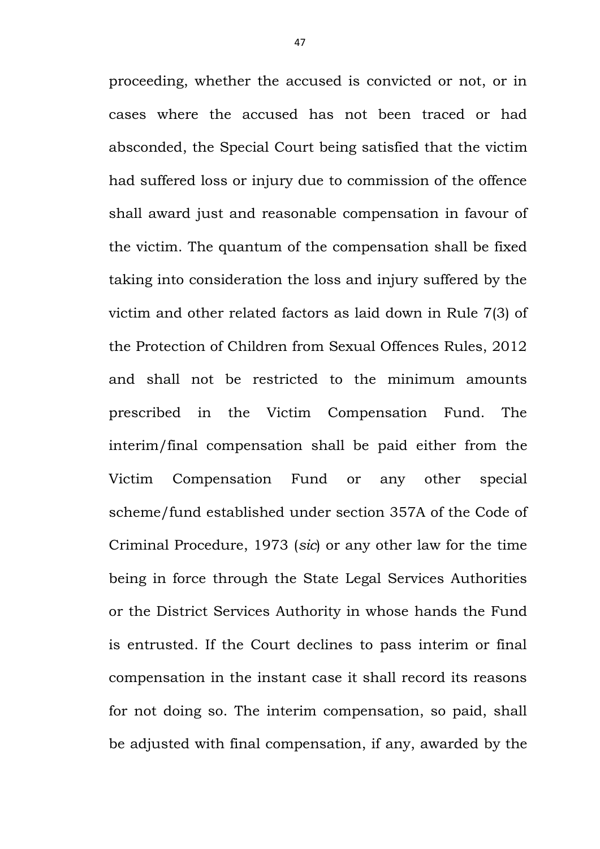proceeding, whether the accused is convicted or not, or in cases where the accused has not been traced or had absconded, the Special Court being satisfied that the victim had suffered loss or injury due to commission of the offence shall award just and reasonable compensation in favour of the victim. The quantum of the compensation shall be fixed taking into consideration the loss and injury suffered by the victim and other related factors as laid down in Rule 7(3) of the Protection of Children from Sexual Offences Rules, 2012 and shall not be restricted to the minimum amounts prescribed in the Victim Compensation Fund. The interim/final compensation shall be paid either from the Victim Compensation Fund or any other special scheme/fund established under section 357A of the Code of Criminal Procedure, 1973 (*sic*) or any other law for the time being in force through the State Legal Services Authorities or the District Services Authority in whose hands the Fund is entrusted. If the Court declines to pass interim or final compensation in the instant case it shall record its reasons for not doing so. The interim compensation, so paid, shall be adjusted with final compensation, if any, awarded by the